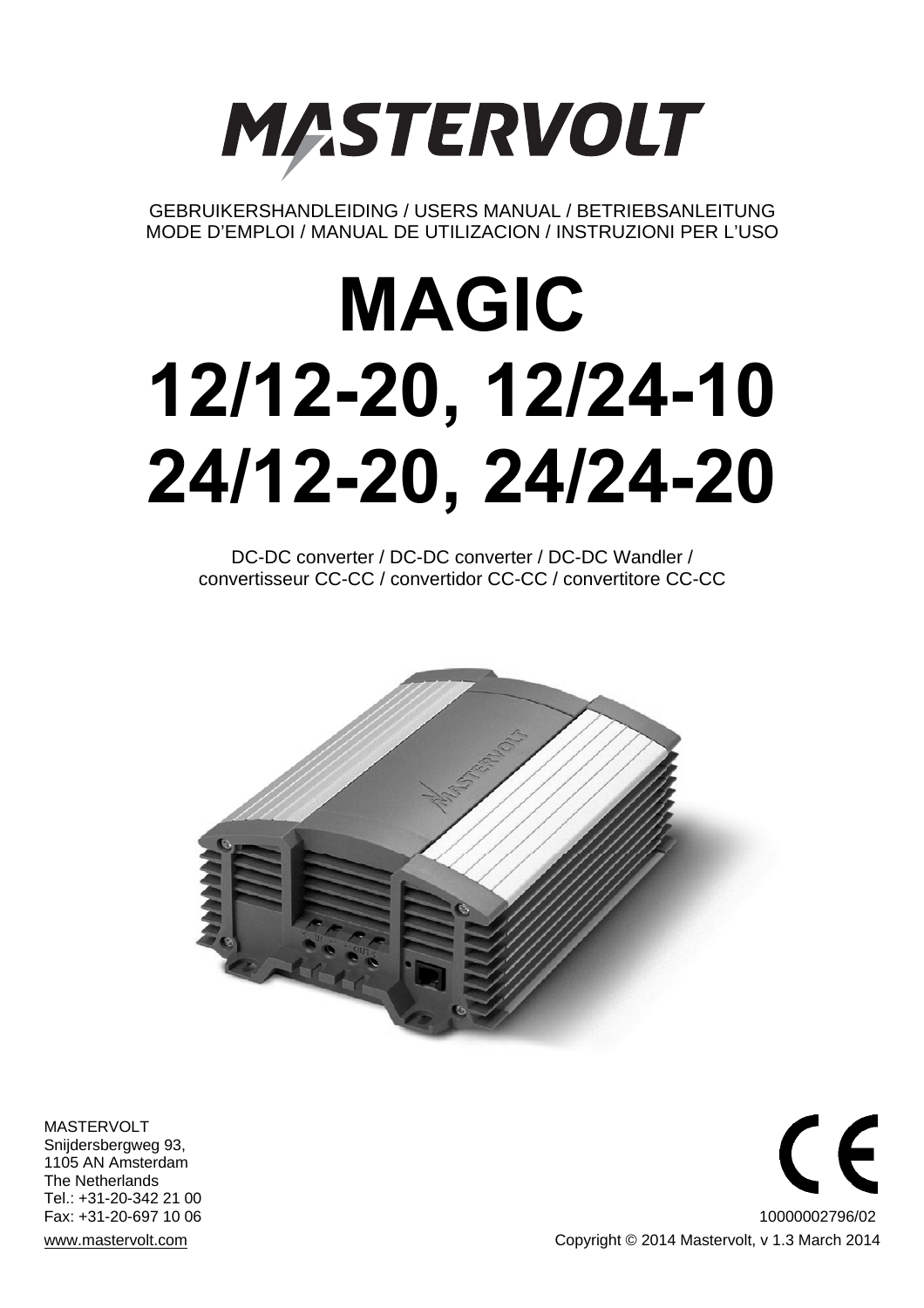

GEBRUIKERSHANDLEIDING / USERS MANUAL / BETRIEBSANLEITUNG MODE D'EMPLOI / MANUAL DE UTILIZACION / INSTRUZIONI PER L'USO

# **MAGIC 12/12-20, 12/24-10 24/12-20, 24/24-20**

DC-DC converter / DC-DC converter / DC-DC Wandler / convertisseur CC-CC / convertidor CC-CC / convertitore CC-CC



MASTERVOLT Snijdersbergweg 93, 1105 AN Amsterdam The Netherlands Tel.: +31-20-342 21 00

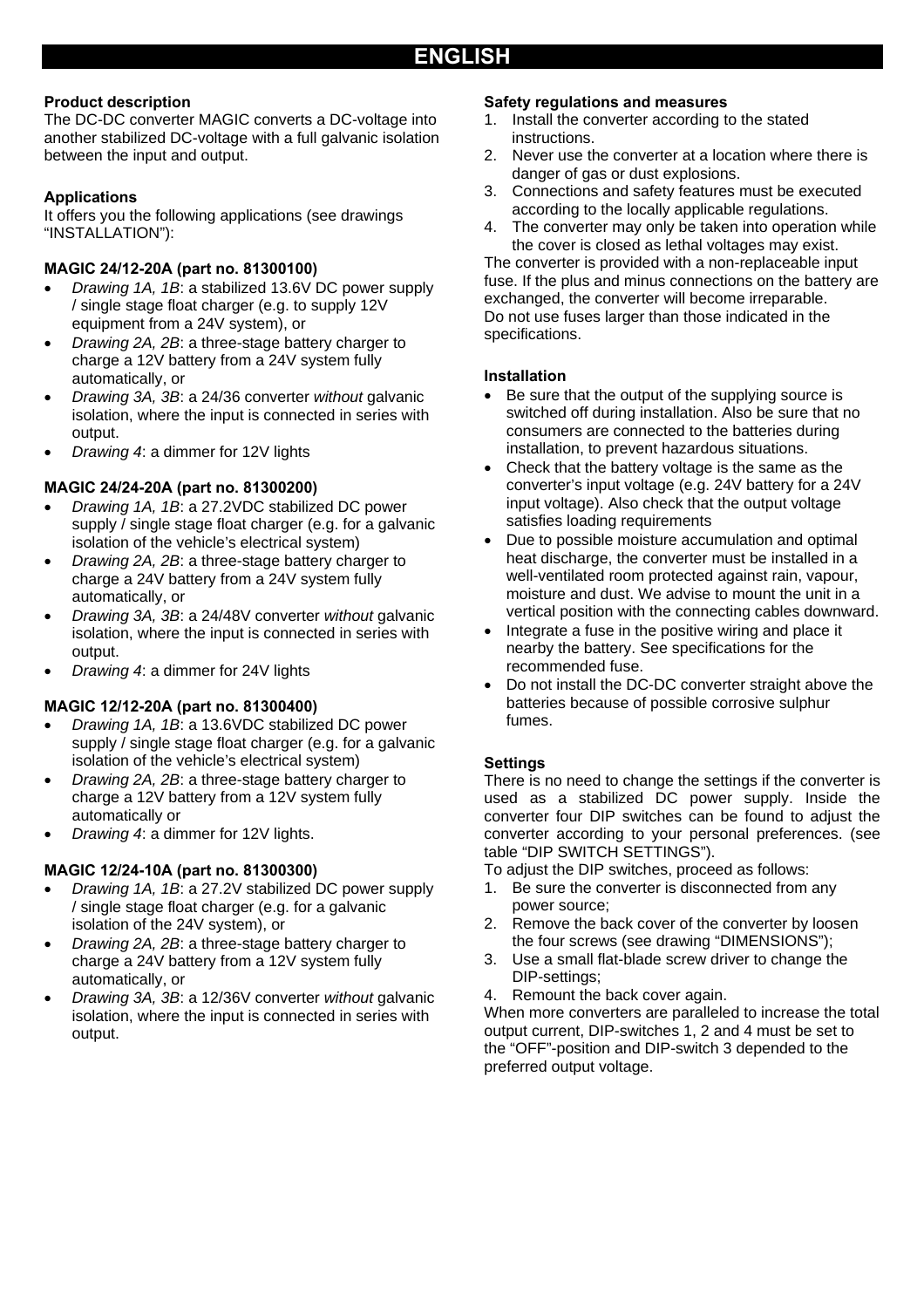#### **Product description**

The DC-DC converter MAGIC converts a DC-voltage into another stabilized DC-voltage with a full galvanic isolation between the input and output.

#### **Applications**

It offers you the following applications (see drawings "INSTALLATION"):

#### **MAGIC 24/12-20A (part no. 81300100)**

- *Drawing 1A, 1B*: a stabilized 13.6V DC power supply / single stage float charger (e.g. to supply 12V equipment from a 24V system), or
- *Drawing 2A, 2B*: a three-stage battery charger to charge a 12V battery from a 24V system fully automatically, or
- *Drawing 3A, 3B*: a 24/36 converter *without* galvanic isolation, where the input is connected in series with output.
- *Drawing 4*: a dimmer for 12V lights

#### **MAGIC 24/24-20A (part no. 81300200)**

- *Drawing 1A, 1B*: a 27.2VDC stabilized DC power supply / single stage float charger (e.g. for a galvanic isolation of the vehicle's electrical system)
- *Drawing 2A, 2B*: a three-stage battery charger to charge a 24V battery from a 24V system fully automatically, or
- *Drawing 3A, 3B*: a 24/48V converter *without* galvanic isolation, where the input is connected in series with output.
- *Drawing 4*: a dimmer for 24V lights

#### **MAGIC 12/12-20A (part no. 81300400)**

- *Drawing 1A, 1B*: a 13.6VDC stabilized DC power supply / single stage float charger (e.g. for a galvanic isolation of the vehicle's electrical system)
- *Drawing 2A, 2B*: a three-stage battery charger to charge a 12V battery from a 12V system fully automatically or
- *Drawing 4*: a dimmer for 12V lights.

#### **MAGIC 12/24-10A (part no. 81300300)**

- *Drawing 1A, 1B*: a 27.2V stabilized DC power supply / single stage float charger (e.g. for a galvanic isolation of the 24V system), or
- *Drawing 2A, 2B*: a three-stage battery charger to charge a 24V battery from a 12V system fully automatically, or
- *Drawing 3A, 3B*: a 12/36V converter *without* galvanic isolation, where the input is connected in series with output.

#### **Safety regulations and measures**

- 1. Install the converter according to the stated instructions.
- 2. Never use the converter at a location where there is danger of gas or dust explosions.
- 3. Connections and safety features must be executed according to the locally applicable regulations.
- 4. The converter may only be taken into operation while the cover is closed as lethal voltages may exist.

The converter is provided with a non-replaceable input fuse. If the plus and minus connections on the battery are exchanged, the converter will become irreparable. Do not use fuses larger than those indicated in the specifications.

#### **Installation**

- Be sure that the output of the supplying source is switched off during installation. Also be sure that no consumers are connected to the batteries during installation, to prevent hazardous situations.
- Check that the battery voltage is the same as the converter's input voltage (e.g. 24V battery for a 24V input voltage). Also check that the output voltage satisfies loading requirements
- Due to possible moisture accumulation and optimal heat discharge, the converter must be installed in a well-ventilated room protected against rain, vapour, moisture and dust. We advise to mount the unit in a vertical position with the connecting cables downward.
- Integrate a fuse in the positive wiring and place it nearby the battery. See specifications for the recommended fuse.
- Do not install the DC-DC converter straight above the batteries because of possible corrosive sulphur fumes.

#### **Settings**

There is no need to change the settings if the converter is used as a stabilized DC power supply. Inside the converter four DIP switches can be found to adjust the converter according to your personal preferences. (see table "DIP SWITCH SETTINGS").

To adjust the DIP switches, proceed as follows:

- 1. Be sure the converter is disconnected from any power source;
- 2. Remove the back cover of the converter by loosen the four screws (see drawing "DIMENSIONS");
- 3. Use a small flat-blade screw driver to change the DIP-settings;
- 4. Remount the back cover again.

When more converters are paralleled to increase the total output current, DIP-switches 1, 2 and 4 must be set to the "OFF"-position and DIP-switch 3 depended to the preferred output voltage.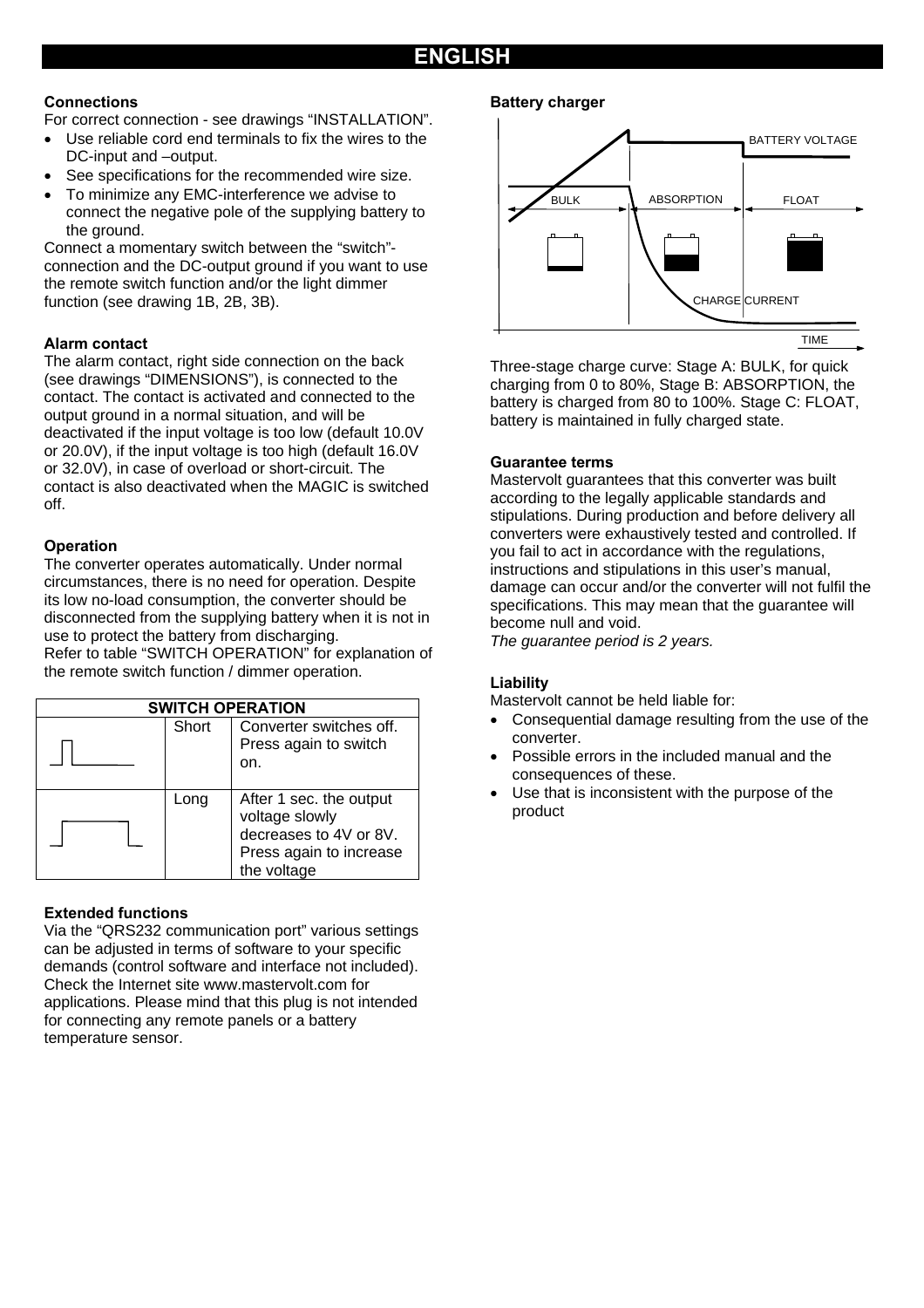## **ENGLISH**

#### **Connections**

For correct connection - see drawings "INSTALLATION".

- Use reliable cord end terminals to fix the wires to the DC-input and –output.
- See specifications for the recommended wire size.
- To minimize any EMC-interference we advise to connect the negative pole of the supplying battery to the ground.

Connect a momentary switch between the "switch" connection and the DC-output ground if you want to use the remote switch function and/or the light dimmer function (see drawing 1B, 2B, 3B).

#### **Alarm contact**

The alarm contact, right side connection on the back (see drawings "DIMENSIONS"), is connected to the contact. The contact is activated and connected to the output ground in a normal situation, and will be deactivated if the input voltage is too low (default 10.0V or 20.0V), if the input voltage is too high (default 16.0V or 32.0V), in case of overload or short-circuit. The contact is also deactivated when the MAGIC is switched off.

#### **Operation**

The converter operates automatically. Under normal circumstances, there is no need for operation. Despite its low no-load consumption, the converter should be disconnected from the supplying battery when it is not in use to protect the battery from discharging. Refer to table "SWITCH OPERATION" for explanation of the remote switch function / dimmer operation.

| <b>SWITCH OPERATION</b> |       |                                                                                                               |  |
|-------------------------|-------|---------------------------------------------------------------------------------------------------------------|--|
|                         | Short | Converter switches off.<br>Press again to switch<br>on.                                                       |  |
|                         | Long  | After 1 sec. the output<br>voltage slowly<br>decreases to 4V or 8V.<br>Press again to increase<br>the voltage |  |

#### **Extended functions**

Via the "QRS232 communication port" various settings can be adjusted in terms of software to your specific demands (control software and interface not included). Check the Internet site www.mastervolt.com for applications. Please mind that this plug is not intended for connecting any remote panels or a battery temperature sensor.

#### **Battery charger**



Three-stage charge curve: Stage A: BULK, for quick charging from 0 to 80%, Stage B: ABSORPTION, the battery is charged from 80 to 100%. Stage C: FLOAT, battery is maintained in fully charged state.

#### **Guarantee terms**

Mastervolt guarantees that this converter was built according to the legally applicable standards and stipulations. During production and before delivery all converters were exhaustively tested and controlled. If you fail to act in accordance with the regulations, instructions and stipulations in this user's manual, damage can occur and/or the converter will not fulfil the specifications. This may mean that the guarantee will become null and void.

*The guarantee period is 2 years.* 

#### **Liability**

Mastervolt cannot be held liable for:

- Consequential damage resulting from the use of the converter.
- Possible errors in the included manual and the consequences of these.
- Use that is inconsistent with the purpose of the product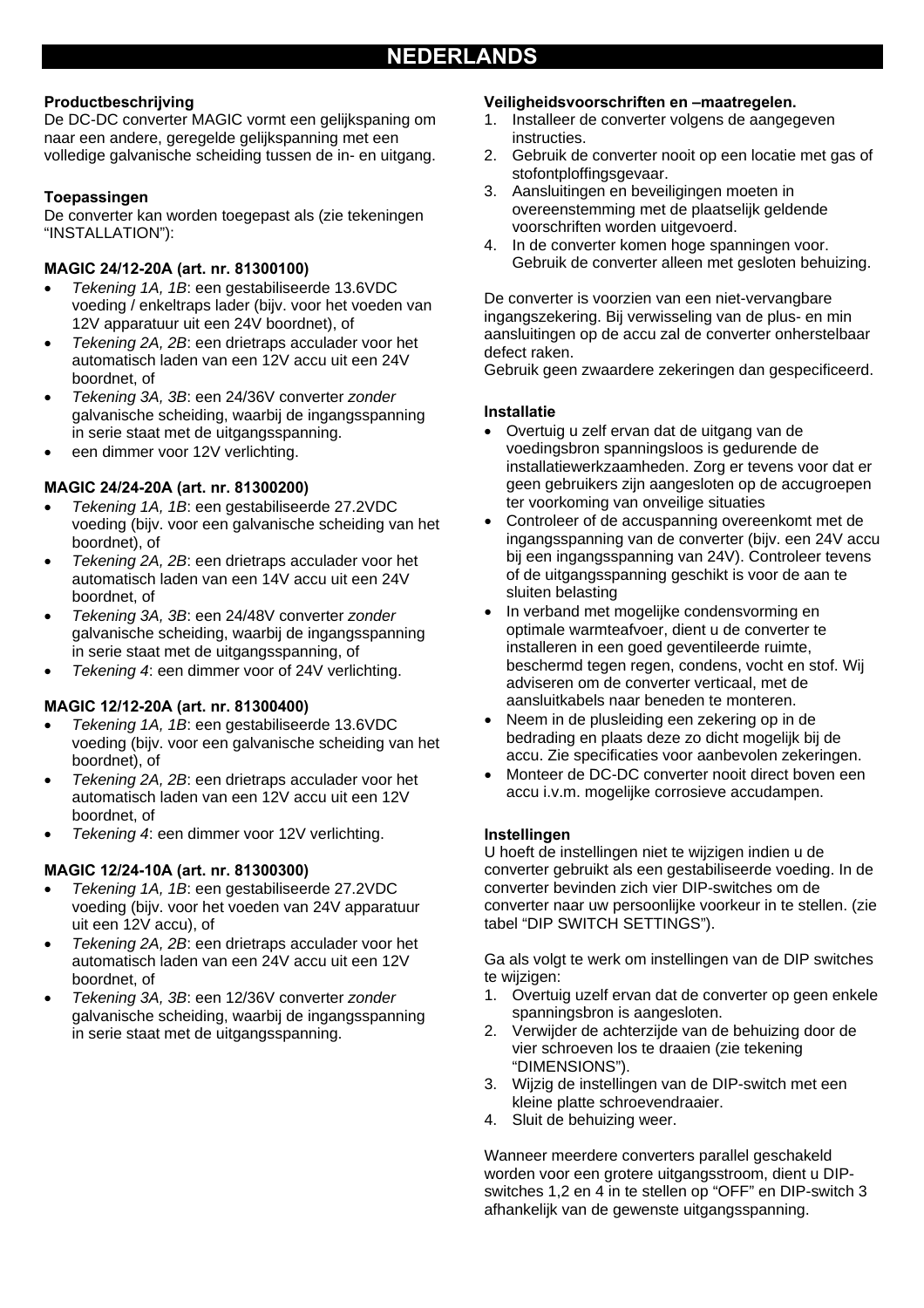#### **Productbeschrijving**

De DC-DC converter MAGIC vormt een gelijkspaning om naar een andere, geregelde gelijkspanning met een volledige galvanische scheiding tussen de in- en uitgang.

#### **Toepassingen**

De converter kan worden toegepast als (zie tekeningen "INSTALLATION"):

#### **MAGIC 24/12-20A (art. nr. 81300100)**

- *Tekening 1A, 1B*: een gestabiliseerde 13.6VDC voeding / enkeltraps lader (bijv. voor het voeden van 12V apparatuur uit een 24V boordnet), of
- *Tekening 2A, 2B*: een drietraps acculader voor het automatisch laden van een 12V accu uit een 24V boordnet, of
- *Tekening 3A, 3B*: een 24/36V converter *zonder* galvanische scheiding, waarbij de ingangsspanning in serie staat met de uitgangsspanning.
- een dimmer voor 12V verlichting.

#### **MAGIC 24/24-20A (art. nr. 81300200)**

- *Tekening 1A, 1B*: een gestabiliseerde 27.2VDC voeding (bijv. voor een galvanische scheiding van het boordnet), of
- *Tekening 2A, 2B*: een drietraps acculader voor het automatisch laden van een 14V accu uit een 24V boordnet, of
- *Tekening 3A, 3B*: een 24/48V converter *zonder* galvanische scheiding, waarbij de ingangsspanning in serie staat met de uitgangsspanning, of
- *Tekening 4*: een dimmer voor of 24V verlichting.

#### **MAGIC 12/12-20A (art. nr. 81300400)**

- *Tekening 1A, 1B*: een gestabiliseerde 13.6VDC voeding (bijv. voor een galvanische scheiding van het boordnet), of
- *Tekening 2A, 2B*: een drietraps acculader voor het automatisch laden van een 12V accu uit een 12V boordnet, of
- *Tekening 4*: een dimmer voor 12V verlichting.

#### **MAGIC 12/24-10A (art. nr. 81300300)**

- *Tekening 1A, 1B*: een gestabiliseerde 27.2VDC voeding (bijv. voor het voeden van 24V apparatuur uit een 12V accu), of
- *Tekening 2A, 2B*: een drietraps acculader voor het automatisch laden van een 24V accu uit een 12V boordnet, of
- *Tekening 3A, 3B*: een 12/36V converter *zonder* galvanische scheiding, waarbij de ingangsspanning in serie staat met de uitgangsspanning.

#### **Veiligheidsvoorschriften en –maatregelen.**

- 1. Installeer de converter volgens de aangegeven instructies.
- 2. Gebruik de converter nooit op een locatie met gas of stofontploffingsgevaar.
- 3. Aansluitingen en beveiligingen moeten in overeenstemming met de plaatselijk geldende voorschriften worden uitgevoerd.
- 4. In de converter komen hoge spanningen voor. Gebruik de converter alleen met gesloten behuizing.

De converter is voorzien van een niet-vervangbare ingangszekering. Bij verwisseling van de plus- en min aansluitingen op de accu zal de converter onherstelbaar defect raken.

Gebruik geen zwaardere zekeringen dan gespecificeerd.

#### **Installatie**

- Overtuig u zelf ervan dat de uitgang van de voedingsbron spanningsloos is gedurende de installatiewerkzaamheden. Zorg er tevens voor dat er geen gebruikers zijn aangesloten op de accugroepen ter voorkoming van onveilige situaties
- Controleer of de accuspanning overeenkomt met de ingangsspanning van de converter (bijv. een 24V accu bij een ingangsspanning van 24V). Controleer tevens of de uitgangsspanning geschikt is voor de aan te sluiten belasting
- In verband met mogelijke condensvorming en optimale warmteafvoer, dient u de converter te installeren in een goed geventileerde ruimte, beschermd tegen regen, condens, vocht en stof. Wij adviseren om de converter verticaal, met de aansluitkabels naar beneden te monteren.
- Neem in de plusleiding een zekering op in de bedrading en plaats deze zo dicht mogelijk bij de accu. Zie specificaties voor aanbevolen zekeringen.
- Monteer de DC-DC converter nooit direct boven een accu i.v.m. mogelijke corrosieve accudampen.

#### **Instellingen**

U hoeft de instellingen niet te wijzigen indien u de converter gebruikt als een gestabiliseerde voeding. In de converter bevinden zich vier DIP-switches om de converter naar uw persoonlijke voorkeur in te stellen. (zie tabel "DIP SWITCH SETTINGS").

Ga als volgt te werk om instellingen van de DIP switches te wijzigen:

- 1. Overtuig uzelf ervan dat de converter op geen enkele spanningsbron is aangesloten.
- 2. Verwijder de achterzijde van de behuizing door de vier schroeven los te draaien (zie tekening "DIMENSIONS").
- 3. Wijzig de instellingen van de DIP-switch met een kleine platte schroevendraaier.
- 4. Sluit de behuizing weer.

Wanneer meerdere converters parallel geschakeld worden voor een grotere uitgangsstroom, dient u DIPswitches 1,2 en 4 in te stellen op "OFF" en DIP-switch 3 afhankelijk van de gewenste uitgangsspanning.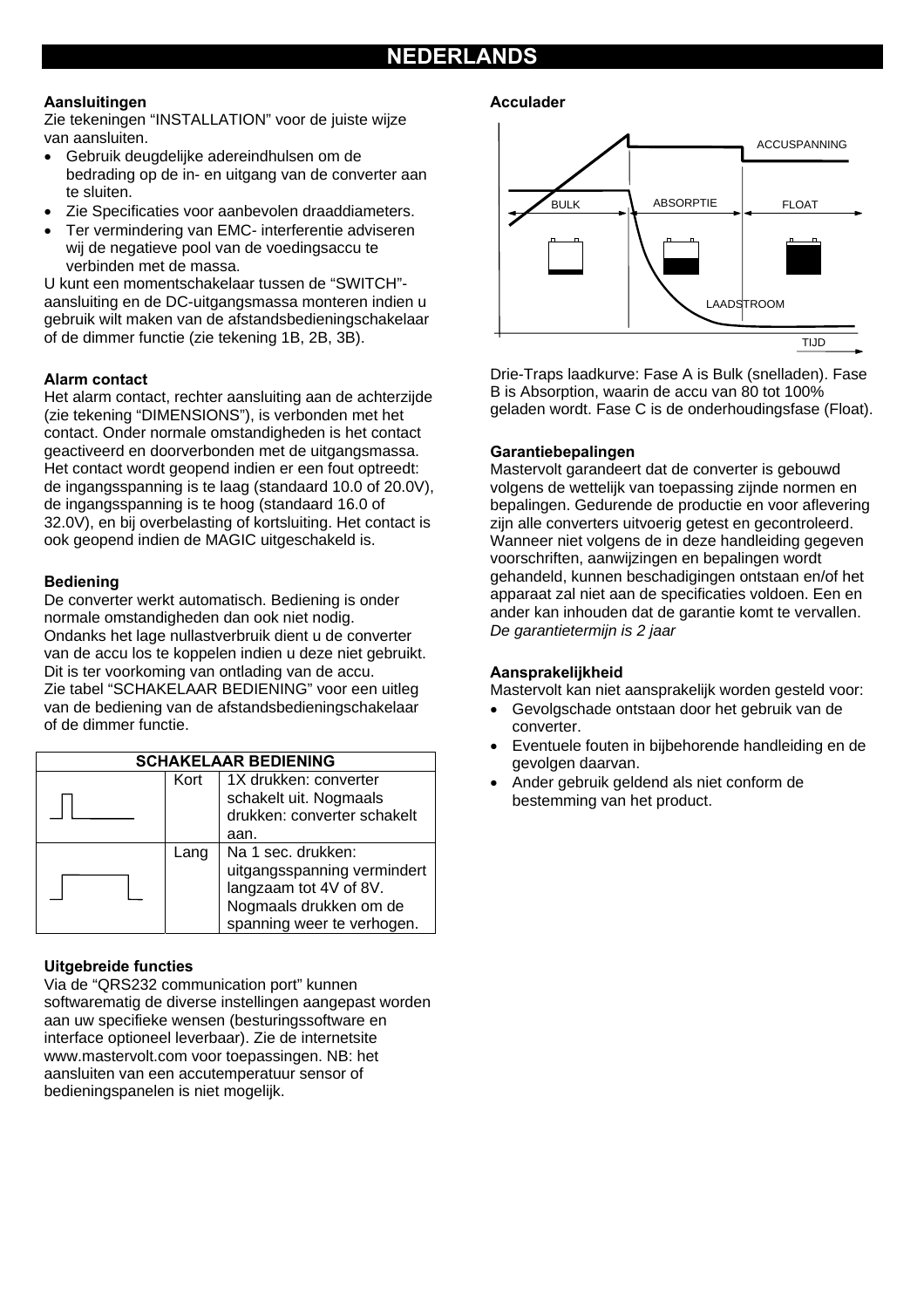# **NEDERLANDS**

#### **Aansluitingen**

Zie tekeningen "INSTALLATION" voor de juiste wijze van aansluiten.

- Gebruik deugdelijke adereindhulsen om de bedrading op de in- en uitgang van de converter aan te sluiten.
- Zie Specificaties voor aanbevolen draaddiameters.
- Ter vermindering van EMC- interferentie adviseren wij de negatieve pool van de voedingsaccu te verbinden met de massa.

U kunt een momentschakelaar tussen de "SWITCH" aansluiting en de DC-uitgangsmassa monteren indien u gebruik wilt maken van de afstandsbedieningschakelaar of de dimmer functie (zie tekening 1B, 2B, 3B).

#### **Alarm contact**

Het alarm contact, rechter aansluiting aan de achterzijde (zie tekening "DIMENSIONS"), is verbonden met het contact. Onder normale omstandigheden is het contact geactiveerd en doorverbonden met de uitgangsmassa. Het contact wordt geopend indien er een fout optreedt: de ingangsspanning is te laag (standaard 10.0 of 20.0V), de ingangsspanning is te hoog (standaard 16.0 of 32.0V), en bij overbelasting of kortsluiting. Het contact is ook geopend indien de MAGIC uitgeschakeld is.

#### **Bediening**

De converter werkt automatisch. Bediening is onder normale omstandigheden dan ook niet nodig. Ondanks het lage nullastverbruik dient u de converter van de accu los te koppelen indien u deze niet gebruikt. Dit is ter voorkoming van ontlading van de accu. Zie tabel "SCHAKELAAR BEDIENING" voor een uitleg van de bediening van de afstandsbedieningschakelaar of de dimmer functie.

| <b>SCHAKELAAR BEDIENING</b> |      |                                                                                                                                     |  |
|-----------------------------|------|-------------------------------------------------------------------------------------------------------------------------------------|--|
|                             | Kort | 1X drukken: converter<br>schakelt uit. Nogmaals<br>drukken: converter schakelt<br>aan.                                              |  |
|                             | Lang | Na 1 sec. drukken:<br>uitgangsspanning vermindert<br>langzaam tot 4V of 8V.<br>Nogmaals drukken om de<br>spanning weer te verhogen. |  |

#### **Uitgebreide functies**

Via de "QRS232 communication port" kunnen softwarematig de diverse instellingen aangepast worden aan uw specifieke wensen (besturingssoftware en interface optioneel leverbaar). Zie de internetsite www.mastervolt.com voor toepassingen. NB: het aansluiten van een accutemperatuur sensor of bedieningspanelen is niet mogelijk.

#### **Acculader**



Drie-Traps laadkurve: Fase A is Bulk (snelladen). Fase B is Absorption, waarin de accu van 80 tot 100% geladen wordt. Fase C is de onderhoudingsfase (Float).

#### **Garantiebepalingen**

Mastervolt garandeert dat de converter is gebouwd volgens de wettelijk van toepassing zijnde normen en bepalingen. Gedurende de productie en voor aflevering zijn alle converters uitvoerig getest en gecontroleerd. Wanneer niet volgens de in deze handleiding gegeven voorschriften, aanwijzingen en bepalingen wordt gehandeld, kunnen beschadigingen ontstaan en/of het apparaat zal niet aan de specificaties voldoen. Een en ander kan inhouden dat de garantie komt te vervallen. *De garantietermijn is 2 jaar* 

#### **Aansprakelijkheid**

Mastervolt kan niet aansprakelijk worden gesteld voor:

- Gevolgschade ontstaan door het gebruik van de converter.
- Eventuele fouten in bijbehorende handleiding en de gevolgen daarvan.
- Ander gebruik geldend als niet conform de bestemming van het product.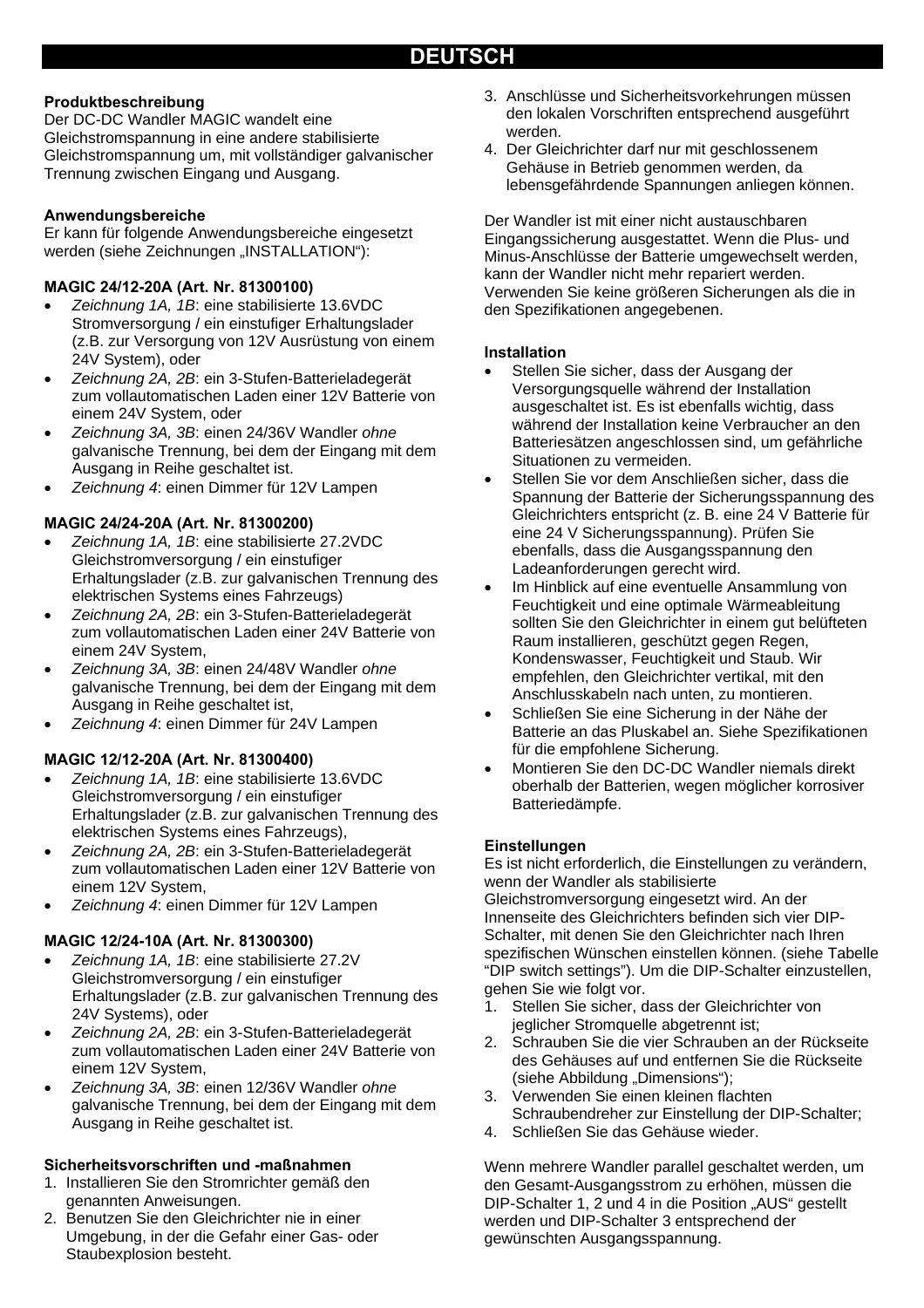#### **Produktbeschreibung**

Der DC-DC Wandler MAGIC wandelt eine Gleichstromspannung in eine andere stabilisierte Gleichstromspannung um, mit vollständiger galvanischer Trennung zwischen Eingang und Ausgang.

#### **Anwendungsbereiche**

Er kann für folgende Anwendungsbereiche eingesetzt werden (siehe Zeichnungen "INSTALLATION"):

#### **MAGIC 24/12-20A (Art. Nr. 81300100)**

- *Zeichnung 1A, 1B*: eine stabilisierte 13.6VDC Stromversorgung / ein einstufiger Erhaltungslader (z.B. zur Versorgung von 12V Ausrüstung von einem 24V System), oder
- *Zeichnung 2A, 2B*: ein 3-Stufen-Batterieladegerät zum vollautomatischen Laden einer 12V Batterie von einem 24V System, oder
- *Zeichnung 3A, 3B*: einen 24/36V Wandler *ohne* galvanische Trennung, bei dem der Eingang mit dem Ausgang in Reihe geschaltet ist.
- *Zeichnung 4*: einen Dimmer für 12V Lampen

#### **MAGIC 24/24-20A (Art. Nr. 81300200)**

- *Zeichnung 1A, 1B*: eine stabilisierte 27.2VDC Gleichstromversorgung / ein einstufiger Erhaltungslader (z.B. zur galvanischen Trennung des elektrischen Systems eines Fahrzeugs)
- *Zeichnung 2A, 2B*: ein 3-Stufen-Batterieladegerät zum vollautomatischen Laden einer 24V Batterie von einem 24V System,
- *Zeichnung 3A, 3B*: einen 24/48V Wandler *ohne* galvanische Trennung, bei dem der Eingang mit dem Ausgang in Reihe geschaltet ist,
- *Zeichnung 4*: einen Dimmer für 24V Lampen

#### **MAGIC 12/12-20A (Art. Nr. 81300400)**

- *Zeichnung 1A, 1B*: eine stabilisierte 13.6VDC Gleichstromversorgung / ein einstufiger Erhaltungslader (z.B. zur galvanischen Trennung des elektrischen Systems eines Fahrzeugs),
- *Zeichnung 2A, 2B*: ein 3-Stufen-Batterieladegerät zum vollautomatischen Laden einer 12V Batterie von einem 12V System,
- *Zeichnung 4*: einen Dimmer für 12V Lampen

#### **MAGIC 12/24-10A (Art. Nr. 81300300)**

- *Zeichnung 1A, 1B*: eine stabilisierte 27.2V Gleichstromversorgung / ein einstufiger Erhaltungslader (z.B. zur galvanischen Trennung des 24V Systems), oder
- *Zeichnung 2A, 2B*: ein 3-Stufen-Batterieladegerät zum vollautomatischen Laden einer 24V Batterie von einem 12V System,
- *Zeichnung 3A, 3B*: einen 12/36V Wandler *ohne* galvanische Trennung, bei dem der Eingang mit dem Ausgang in Reihe geschaltet ist.

#### **Sicherheitsvorschriften und -maßnahmen**

- 1. Installieren Sie den Stromrichter gemäß den genannten Anweisungen.
- 2. Benutzen Sie den Gleichrichter nie in einer Umgebung, in der die Gefahr einer Gas- oder Staubexplosion besteht.
- 3. Anschlüsse und Sicherheitsvorkehrungen müssen den lokalen Vorschriften entsprechend ausgeführt werden.
- 4. Der Gleichrichter darf nur mit geschlossenem Gehäuse in Betrieb genommen werden, da lebensgefährdende Spannungen anliegen können.

Der Wandler ist mit einer nicht austauschbaren Eingangssicherung ausgestattet. Wenn die Plus- und Minus-Anschlüsse der Batterie umgewechselt werden, kann der Wandler nicht mehr repariert werden. Verwenden Sie keine größeren Sicherungen als die in den Spezifikationen angegebenen.

#### **Installation**

- Stellen Sie sicher, dass der Ausgang der Versorgungsquelle während der Installation ausgeschaltet ist. Es ist ebenfalls wichtig, dass während der Installation keine Verbraucher an den Batteriesätzen angeschlossen sind, um gefährliche Situationen zu vermeiden.
- Stellen Sie vor dem Anschließen sicher, dass die Spannung der Batterie der Sicherungsspannung des Gleichrichters entspricht (z. B. eine 24 V Batterie für eine 24 V Sicherungsspannung). Prüfen Sie ebenfalls, dass die Ausgangsspannung den Ladeanforderungen gerecht wird.
- Im Hinblick auf eine eventuelle Ansammlung von Feuchtigkeit und eine optimale Wärmeableitung sollten Sie den Gleichrichter in einem gut belüfteten Raum installieren, geschützt gegen Regen, Kondenswasser, Feuchtigkeit und Staub. Wir empfehlen, den Gleichrichter vertikal, mit den Anschlusskabeln nach unten, zu montieren.
- Schließen Sie eine Sicherung in der Nähe der Batterie an das Pluskabel an. Siehe Spezifikationen für die empfohlene Sicherung.
- Montieren Sie den DC-DC Wandler niemals direkt oberhalb der Batterien, wegen möglicher korrosiver Batteriedämpfe.

#### **Einstellungen**

Es ist nicht erforderlich, die Einstellungen zu verändern, wenn der Wandler als stabilisierte Gleichstromversorgung eingesetzt wird. An der Innenseite des Gleichrichters befinden sich vier DIP-Schalter, mit denen Sie den Gleichrichter nach Ihren spezifischen Wünschen einstellen können. (siehe Tabelle "DIP switch settings"). Um die DIP-Schalter einzustellen, gehen Sie wie folgt vor.

- 1. Stellen Sie sicher, dass der Gleichrichter von jeglicher Stromquelle abgetrennt ist;
- 2. Schrauben Sie die vier Schrauben an der Rückseite des Gehäuses auf und entfernen Sie die Rückseite (siehe Abbildung "Dimensions");
- 3. Verwenden Sie einen kleinen flachten Schraubendreher zur Einstellung der DIP-Schalter;
- 4. Schließen Sie das Gehäuse wieder.

Wenn mehrere Wandler parallel geschaltet werden, um den Gesamt-Ausgangsstrom zu erhöhen, müssen die DIP-Schalter 1, 2 und 4 in die Position "AUS" gestellt werden und DIP-Schalter 3 entsprechend der gewünschten Ausgangsspannung.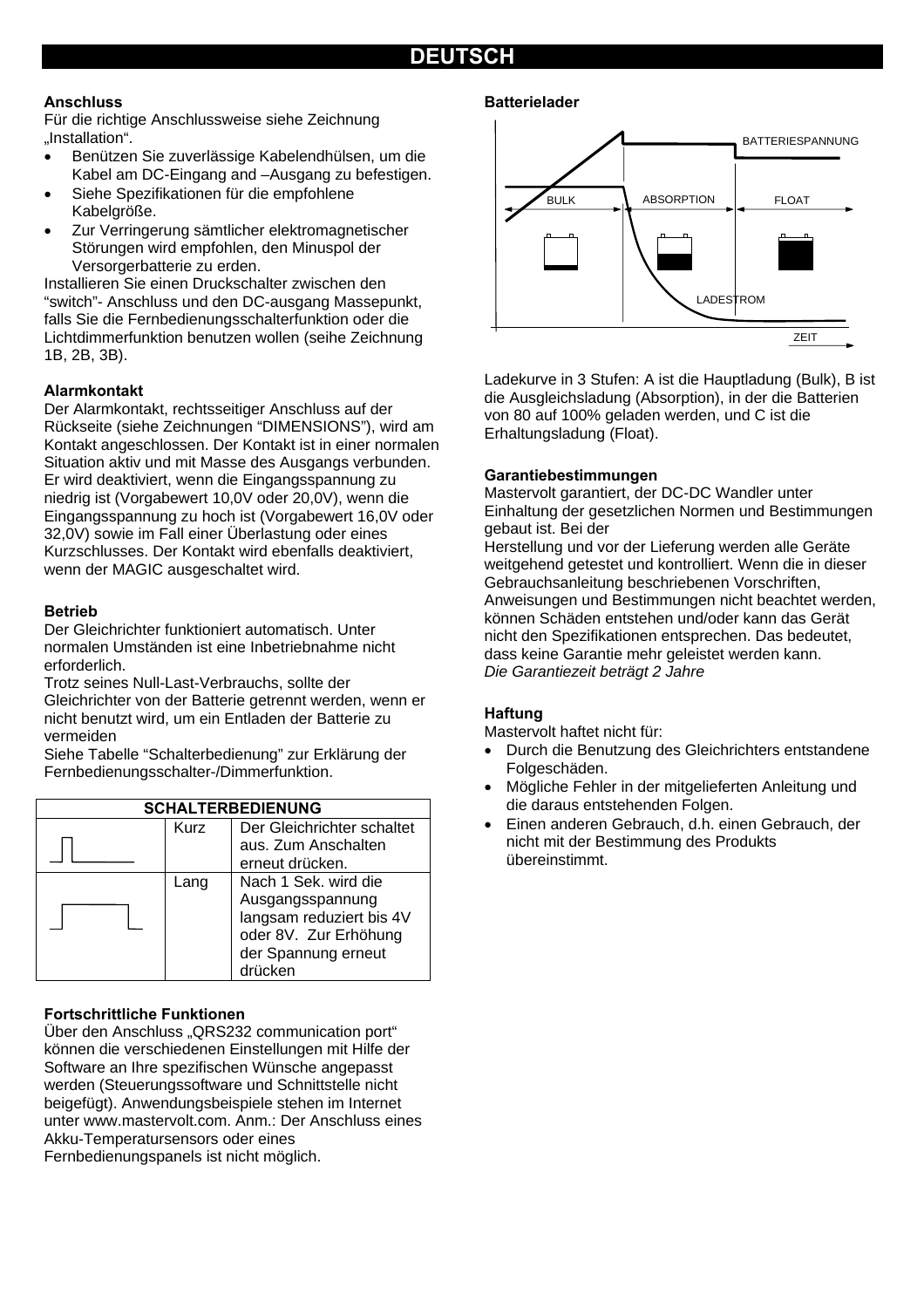# **DEUTSCH**

#### **Anschluss**

Für die richtige Anschlussweise siehe Zeichnung "Installation".

- Benützen Sie zuverlässige Kabelendhülsen, um die Kabel am DC-Eingang and –Ausgang zu befestigen.
- Siehe Spezifikationen für die empfohlene Kabelgröße.
- Zur Verringerung sämtlicher elektromagnetischer Störungen wird empfohlen, den Minuspol der Versorgerbatterie zu erden.

Installieren Sie einen Druckschalter zwischen den "switch"- Anschluss und den DC-ausgang Massepunkt, falls Sie die Fernbedienungsschalterfunktion oder die Lichtdimmerfunktion benutzen wollen (seihe Zeichnung 1B, 2B, 3B).

#### **Alarmkontakt**

Der Alarmkontakt, rechtsseitiger Anschluss auf der Rückseite (siehe Zeichnungen "DIMENSIONS"), wird am Kontakt angeschlossen. Der Kontakt ist in einer normalen Situation aktiv und mit Masse des Ausgangs verbunden. Er wird deaktiviert, wenn die Eingangsspannung zu niedrig ist (Vorgabewert 10,0V oder 20,0V), wenn die Eingangsspannung zu hoch ist (Vorgabewert 16,0V oder 32,0V) sowie im Fall einer Überlastung oder eines Kurzschlusses. Der Kontakt wird ebenfalls deaktiviert, wenn der MAGIC ausgeschaltet wird.

#### **Betrieb**

Der Gleichrichter funktioniert automatisch. Unter normalen Umständen ist eine Inbetriebnahme nicht erforderlich.

Trotz seines Null-Last-Verbrauchs, sollte der Gleichrichter von der Batterie getrennt werden, wenn er nicht benutzt wird, um ein Entladen der Batterie zu vermeiden

Siehe Tabelle "Schalterbedienung" zur Erklärung der Fernbedienungsschalter-/Dimmerfunktion.



#### **Fortschrittliche Funktionen**

Über den Anschluss "QRS232 communication port" können die verschiedenen Einstellungen mit Hilfe der Software an Ihre spezifischen Wünsche angepasst werden (Steuerungssoftware und Schnittstelle nicht beigefügt). Anwendungsbeispiele stehen im Internet unter www.mastervolt.com. Anm.: Der Anschluss eines Akku-Temperatursensors oder eines Fernbedienungspanels ist nicht möglich.

#### **Batterielader**



Ladekurve in 3 Stufen: A ist die Hauptladung (Bulk), B ist die Ausgleichsladung (Absorption), in der die Batterien von 80 auf 100% geladen werden, und C ist die Erhaltungsladung (Float).

#### **Garantiebestimmungen**

Mastervolt garantiert, der DC-DC Wandler unter Einhaltung der gesetzlichen Normen und Bestimmungen gebaut ist. Bei der

Herstellung und vor der Lieferung werden alle Geräte weitgehend getestet und kontrolliert. Wenn die in dieser Gebrauchsanleitung beschriebenen Vorschriften, Anweisungen und Bestimmungen nicht beachtet werden, können Schäden entstehen und/oder kann das Gerät nicht den Spezifikationen entsprechen. Das bedeutet, dass keine Garantie mehr geleistet werden kann. *Die Garantiezeit beträgt 2 Jahre* 

#### **Haftung**

Mastervolt haftet nicht für:

- Durch die Benutzung des Gleichrichters entstandene Folgeschäden.
- Mögliche Fehler in der mitgelieferten Anleitung und die daraus entstehenden Folgen.
- Einen anderen Gebrauch, d.h. einen Gebrauch, der nicht mit der Bestimmung des Produkts übereinstimmt.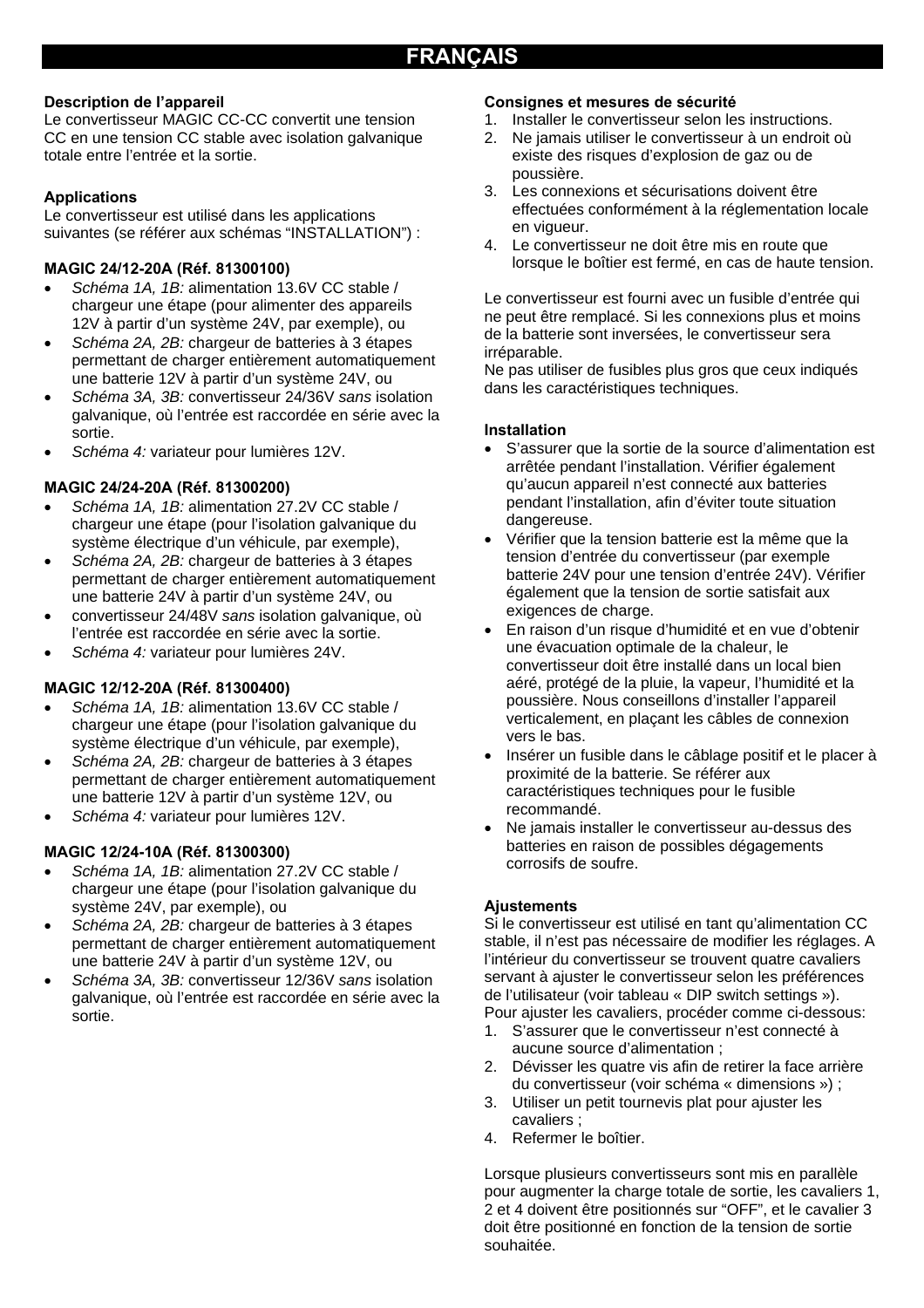#### **Description de l'appareil**

Le convertisseur MAGIC CC-CC convertit une tension CC en une tension CC stable avec isolation galvanique totale entre l'entrée et la sortie.

#### **Applications**

Le convertisseur est utilisé dans les applications suivantes (se référer aux schémas "INSTALLATION") :

#### **MAGIC 24/12-20A (Réf. 81300100)**

- *Schéma 1A, 1B:* alimentation 13.6V CC stable / chargeur une étape (pour alimenter des appareils 12V à partir d'un système 24V, par exemple), ou
- *Schéma 2A, 2B:* chargeur de batteries à 3 étapes permettant de charger entièrement automatiquement une batterie 12V à partir d'un système 24V, ou
- *Schéma 3A, 3B:* convertisseur 24/36V *sans* isolation galvanique, où l'entrée est raccordée en série avec la sortie.
- *Schéma 4:* variateur pour lumières 12V.

#### **MAGIC 24/24-20A (Réf. 81300200)**

- *Schéma 1A, 1B:* alimentation 27.2V CC stable / chargeur une étape (pour l'isolation galvanique du système électrique d'un véhicule, par exemple),
- *Schéma 2A, 2B:* chargeur de batteries à 3 étapes permettant de charger entièrement automatiquement une batterie 24V à partir d'un système 24V, ou
- convertisseur 24/48V *sans* isolation galvanique, où l'entrée est raccordée en série avec la sortie.
- *Schéma 4:* variateur pour lumières 24V.

#### **MAGIC 12/12-20A (Réf. 81300400)**

- *Schéma 1A, 1B:* alimentation 13.6V CC stable / chargeur une étape (pour l'isolation galvanique du système électrique d'un véhicule, par exemple),
- *Schéma 2A, 2B:* chargeur de batteries à 3 étapes permettant de charger entièrement automatiquement une batterie 12V à partir d'un système 12V, ou
- *Schéma 4:* variateur pour lumières 12V.

#### **MAGIC 12/24-10A (Réf. 81300300)**

- *Schéma 1A, 1B:* alimentation 27.2V CC stable / chargeur une étape (pour l'isolation galvanique du système 24V, par exemple), ou
- *Schéma 2A, 2B:* chargeur de batteries à 3 étapes permettant de charger entièrement automatiquement une batterie 24V à partir d'un système 12V, ou
- *Schéma 3A, 3B:* convertisseur 12/36V *sans* isolation galvanique, où l'entrée est raccordée en série avec la sortie.

#### **Consignes et mesures de sécurité**

- 1. Installer le convertisseur selon les instructions.
- 2. Ne jamais utiliser le convertisseur à un endroit où existe des risques d'explosion de gaz ou de poussière.
- 3. Les connexions et sécurisations doivent être effectuées conformément à la réglementation locale en vigueur.
- 4. Le convertisseur ne doit être mis en route que lorsque le boîtier est fermé, en cas de haute tension.

Le convertisseur est fourni avec un fusible d'entrée qui ne peut être remplacé. Si les connexions plus et moins de la batterie sont inversées, le convertisseur sera irréparable.

Ne pas utiliser de fusibles plus gros que ceux indiqués dans les caractéristiques techniques.

#### **Installation**

- S'assurer que la sortie de la source d'alimentation est arrêtée pendant l'installation. Vérifier également qu'aucun appareil n'est connecté aux batteries pendant l'installation, afin d'éviter toute situation dangereuse.
- Vérifier que la tension batterie est la même que la tension d'entrée du convertisseur (par exemple batterie 24V pour une tension d'entrée 24V). Vérifier également que la tension de sortie satisfait aux exigences de charge.
- En raison d'un risque d'humidité et en vue d'obtenir une évacuation optimale de la chaleur, le convertisseur doit être installé dans un local bien aéré, protégé de la pluie, la vapeur, l'humidité et la poussière. Nous conseillons d'installer l'appareil verticalement, en plaçant les câbles de connexion vers le bas.
- Insérer un fusible dans le câblage positif et le placer à proximité de la batterie. Se référer aux caractéristiques techniques pour le fusible recommandé.
- Ne jamais installer le convertisseur au-dessus des batteries en raison de possibles dégagements corrosifs de soufre.

#### **Ajustements**

Si le convertisseur est utilisé en tant qu'alimentation CC stable, il n'est pas nécessaire de modifier les réglages. A l'intérieur du convertisseur se trouvent quatre cavaliers servant à ajuster le convertisseur selon les préférences de l'utilisateur (voir tableau « DIP switch settings »). Pour ajuster les cavaliers, procéder comme ci-dessous:

- 1. S'assurer que le convertisseur n'est connecté à aucune source d'alimentation ;
- 2. Dévisser les quatre vis afin de retirer la face arrière du convertisseur (voir schéma « dimensions ») ;
- 3. Utiliser un petit tournevis plat pour ajuster les cavaliers ;
- 4. Refermer le boîtier.

Lorsque plusieurs convertisseurs sont mis en parallèle pour augmenter la charge totale de sortie, les cavaliers 1, 2 et 4 doivent être positionnés sur "OFF", et le cavalier 3 doit être positionné en fonction de la tension de sortie souhaitée.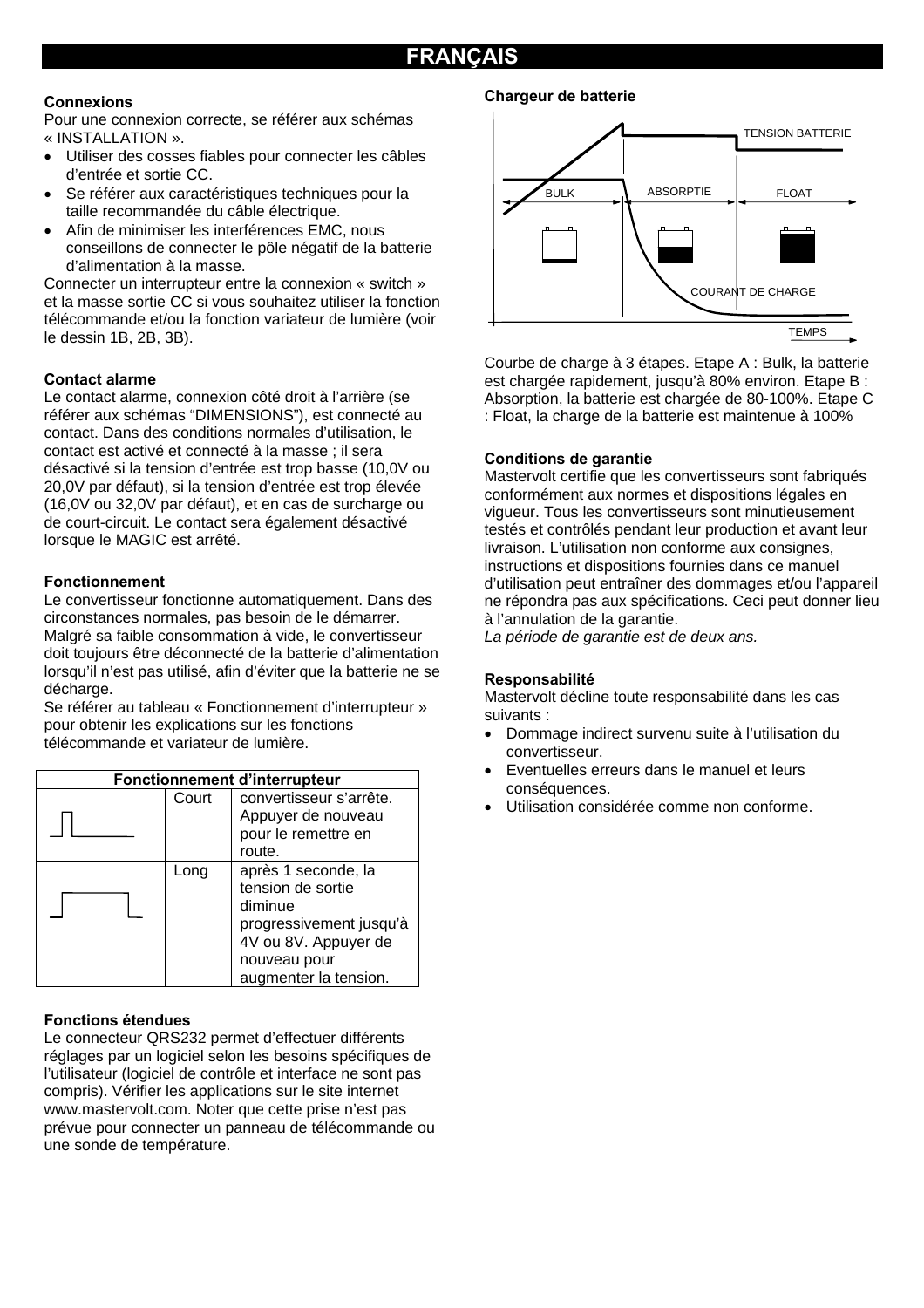#### **Connexions**

Pour une connexion correcte, se référer aux schémas « INSTALLATION ».

- Utiliser des cosses fiables pour connecter les câbles d'entrée et sortie CC.
- Se référer aux caractéristiques techniques pour la taille recommandée du câble électrique.
- Afin de minimiser les interférences EMC, nous conseillons de connecter le pôle négatif de la batterie d'alimentation à la masse.

Connecter un interrupteur entre la connexion « switch » et la masse sortie CC si vous souhaitez utiliser la fonction télécommande et/ou la fonction variateur de lumière (voir le dessin 1B, 2B, 3B).

#### **Contact alarme**

Le contact alarme, connexion côté droit à l'arrière (se référer aux schémas "DIMENSIONS"), est connecté au contact. Dans des conditions normales d'utilisation, le contact est activé et connecté à la masse ; il sera désactivé si la tension d'entrée est trop basse (10,0V ou 20,0V par défaut), si la tension d'entrée est trop élevée (16,0V ou 32,0V par défaut), et en cas de surcharge ou de court-circuit. Le contact sera également désactivé lorsque le MAGIC est arrêté.

#### **Fonctionnement**

Le convertisseur fonctionne automatiquement. Dans des circonstances normales, pas besoin de le démarrer. Malgré sa faible consommation à vide, le convertisseur doit toujours être déconnecté de la batterie d'alimentation lorsqu'il n'est pas utilisé, afin d'éviter que la batterie ne se décharge.

Se référer au tableau « Fonctionnement d'interrupteur » pour obtenir les explications sur les fonctions télécommande et variateur de lumière.

| Fonctionnement d'interrupteur |       |                                                                                                                                                 |  |
|-------------------------------|-------|-------------------------------------------------------------------------------------------------------------------------------------------------|--|
|                               | Court | convertisseur s'arrête.<br>Appuyer de nouveau<br>pour le remettre en<br>route.                                                                  |  |
|                               | Long  | après 1 seconde, la<br>tension de sortie<br>diminue<br>progressivement jusqu'à<br>4V ou 8V. Appuyer de<br>nouveau pour<br>augmenter la tension. |  |

#### **Fonctions étendues**

Le connecteur QRS232 permet d'effectuer différents réglages par un logiciel selon les besoins spécifiques de l'utilisateur (logiciel de contrôle et interface ne sont pas compris). Vérifier les applications sur le site internet www.mastervolt.com. Noter que cette prise n'est pas prévue pour connecter un panneau de télécommande ou une sonde de température.

#### **Chargeur de batterie**



Courbe de charge à 3 étapes. Etape A : Bulk, la batterie est chargée rapidement, jusqu'à 80% environ. Etape B : Absorption, la batterie est chargée de 80-100%. Etape C : Float, la charge de la batterie est maintenue à 100%

#### **Conditions de garantie**

Mastervolt certifie que les convertisseurs sont fabriqués conformément aux normes et dispositions légales en vigueur. Tous les convertisseurs sont minutieusement testés et contrôlés pendant leur production et avant leur livraison. L'utilisation non conforme aux consignes, instructions et dispositions fournies dans ce manuel d'utilisation peut entraîner des dommages et/ou l'appareil ne répondra pas aux spécifications. Ceci peut donner lieu à l'annulation de la garantie.

*La période de garantie est de deux ans.* 

#### **Responsabilité**

Mastervolt décline toute responsabilité dans les cas suivants :

- Dommage indirect survenu suite à l'utilisation du convertisseur.
- Eventuelles erreurs dans le manuel et leurs conséquences.
- Utilisation considérée comme non conforme.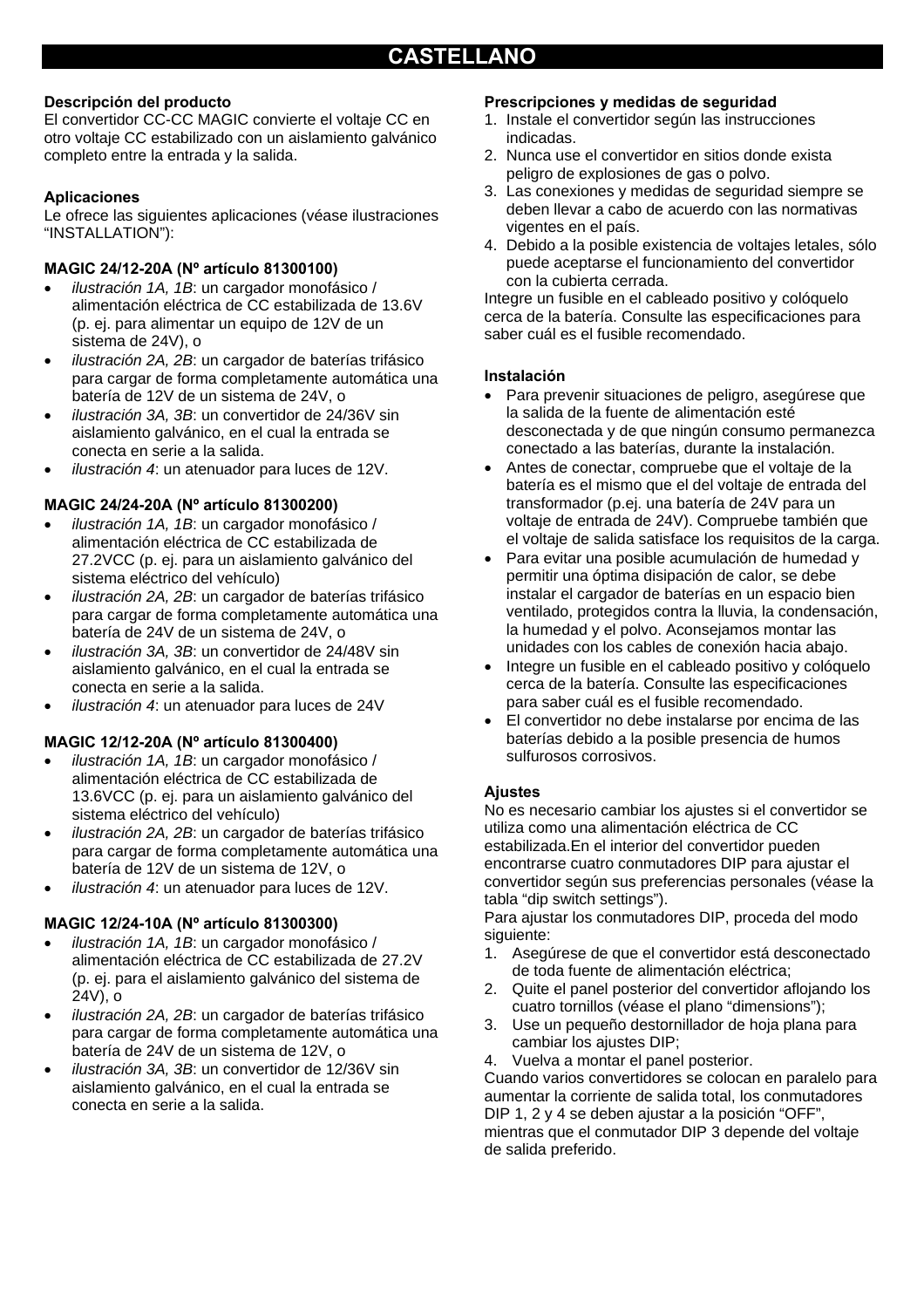#### **Descripción del producto**

El convertidor CC-CC MAGIC convierte el voltaje CC en otro voltaje CC estabilizado con un aislamiento galvánico completo entre la entrada y la salida.

#### **Aplicaciones**

Le ofrece las siguientes aplicaciones (véase ilustraciones "INSTALLATION"):

#### **MAGIC 24/12-20A (Nº artículo 81300100)**

- *ilustración 1A, 1B*: un cargador monofásico / alimentación eléctrica de CC estabilizada de 13.6V (p. ej. para alimentar un equipo de 12V de un sistema de 24V), o
- *ilustración 2A, 2B*: un cargador de baterías trifásico para cargar de forma completamente automática una batería de 12V de un sistema de 24V, o
- *ilustración 3A, 3B*: un convertidor de 24/36V sin aislamiento galvánico, en el cual la entrada se conecta en serie a la salida.
- *ilustración 4*: un atenuador para luces de 12V.

#### **MAGIC 24/24-20A (Nº artículo 81300200)**

- *ilustración 1A, 1B*: un cargador monofásico / alimentación eléctrica de CC estabilizada de 27.2VCC (p. ej. para un aislamiento galvánico del sistema eléctrico del vehículo)
- *ilustración 2A, 2B*: un cargador de baterías trifásico para cargar de forma completamente automática una batería de 24V de un sistema de 24V, o
- *ilustración 3A, 3B*: un convertidor de 24/48V sin aislamiento galvánico, en el cual la entrada se conecta en serie a la salida.
- *ilustración 4*: un atenuador para luces de 24V

#### **MAGIC 12/12-20A (Nº artículo 81300400)**

- *ilustración 1A, 1B*: un cargador monofásico / alimentación eléctrica de CC estabilizada de 13.6VCC (p. ej. para un aislamiento galvánico del sistema eléctrico del vehículo)
- *ilustración 2A, 2B*: un cargador de baterías trifásico para cargar de forma completamente automática una batería de 12V de un sistema de 12V, o
- *ilustración 4*: un atenuador para luces de 12V.

#### **MAGIC 12/24-10A (Nº artículo 81300300)**

- *ilustración 1A, 1B*: un cargador monofásico / alimentación eléctrica de CC estabilizada de 27.2V (p. ej. para el aislamiento galvánico del sistema de 24V), o
- *ilustración 2A, 2B*: un cargador de baterías trifásico para cargar de forma completamente automática una batería de 24V de un sistema de 12V, o
- *ilustración 3A, 3B*: un convertidor de 12/36V sin aislamiento galvánico, en el cual la entrada se conecta en serie a la salida.

#### **Prescripciones y medidas de seguridad**

- 1. Instale el convertidor según las instrucciones indicadas.
- 2. Nunca use el convertidor en sitios donde exista peligro de explosiones de gas o polvo.
- 3. Las conexiones y medidas de seguridad siempre se deben llevar a cabo de acuerdo con las normativas vigentes en el país.
- 4. Debido a la posible existencia de voltajes letales, sólo puede aceptarse el funcionamiento del convertidor con la cubierta cerrada.

Integre un fusible en el cableado positivo y colóquelo cerca de la batería. Consulte las especificaciones para saber cuál es el fusible recomendado.

#### **Instalación**

- Para prevenir situaciones de peligro, asegúrese que la salida de la fuente de alimentación esté desconectada y de que ningún consumo permanezca conectado a las baterías, durante la instalación.
- Antes de conectar, compruebe que el voltaje de la batería es el mismo que el del voltaje de entrada del transformador (p.ej. una batería de 24V para un voltaje de entrada de 24V). Compruebe también que el voltaje de salida satisface los requisitos de la carga.
- Para evitar una posible acumulación de humedad y permitir una óptima disipación de calor, se debe instalar el cargador de baterías en un espacio bien ventilado, protegidos contra la lluvia, la condensación, la humedad y el polvo. Aconsejamos montar las unidades con los cables de conexión hacia abajo.
- Integre un fusible en el cableado positivo y colóquelo cerca de la batería. Consulte las especificaciones para saber cuál es el fusible recomendado.
- El convertidor no debe instalarse por encima de las baterías debido a la posible presencia de humos sulfurosos corrosivos.

#### **Ajustes**

No es necesario cambiar los ajustes si el convertidor se utiliza como una alimentación eléctrica de CC estabilizada.En el interior del convertidor pueden encontrarse cuatro conmutadores DIP para ajustar el convertidor según sus preferencias personales (véase la tabla "dip switch settings").

Para ajustar los conmutadores DIP, proceda del modo siguiente:

- 1. Asegúrese de que el convertidor está desconectado de toda fuente de alimentación eléctrica;
- 2. Quite el panel posterior del convertidor aflojando los cuatro tornillos (véase el plano "dimensions");
- 3. Use un pequeño destornillador de hoja plana para cambiar los ajustes DIP;
- 4. Vuelva a montar el panel posterior.

Cuando varios convertidores se colocan en paralelo para aumentar la corriente de salida total, los conmutadores DIP 1, 2 y 4 se deben ajustar a la posición "OFF", mientras que el conmutador DIP 3 depende del voltaje de salida preferido.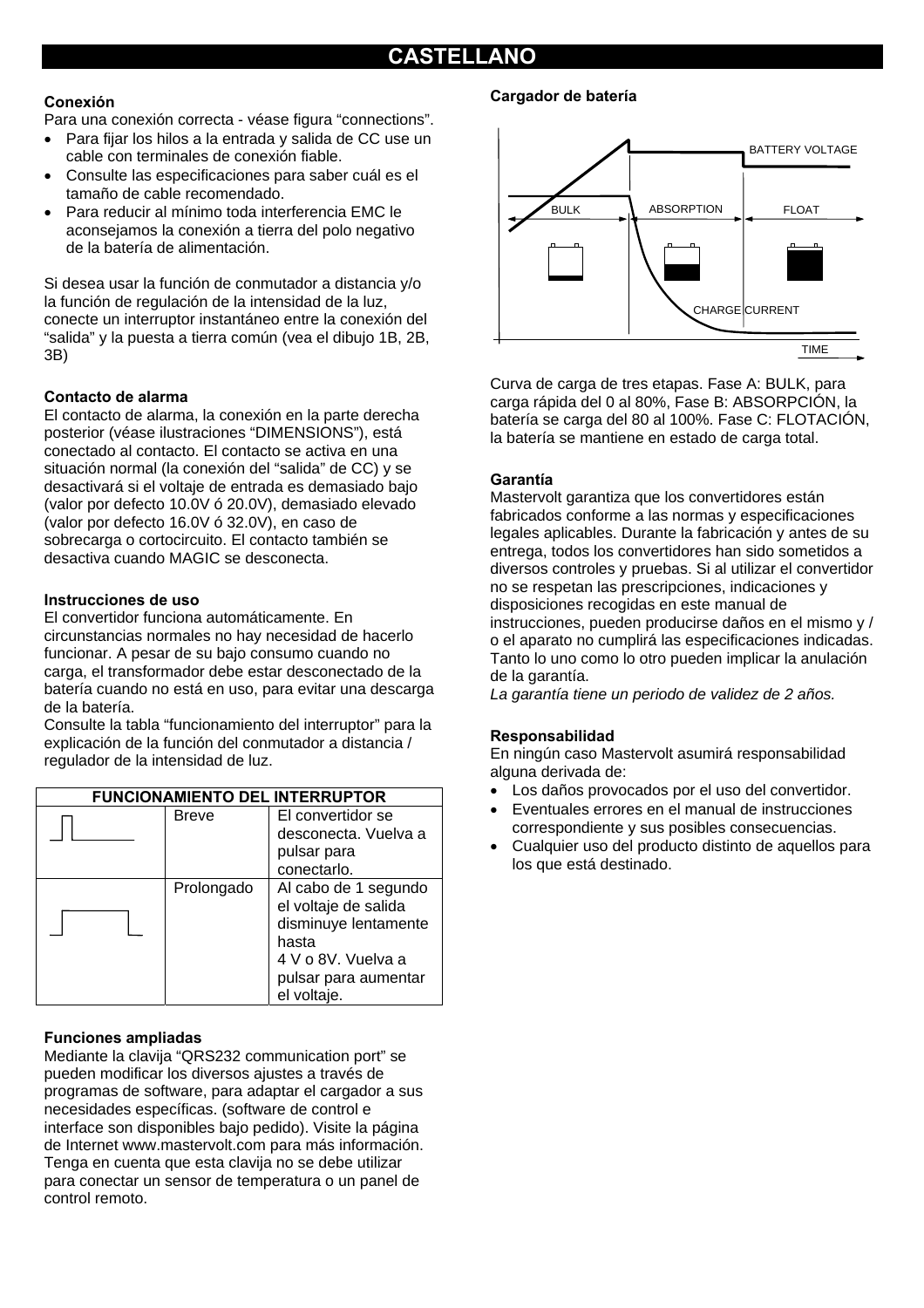#### **Conexión**

Para una conexión correcta - véase figura "connections".

- Para fijar los hilos a la entrada y salida de CC use un cable con terminales de conexión fiable.
- Consulte las especificaciones para saber cuál es el tamaño de cable recomendado.
- Para reducir al mínimo toda interferencia EMC le aconsejamos la conexión a tierra del polo negativo de la batería de alimentación.

Si desea usar la función de conmutador a distancia y/o la función de regulación de la intensidad de la luz, conecte un interruptor instantáneo entre la conexión del "salida" y la puesta a tierra común (vea el dibujo 1B, 2B, 3B)

#### **Contacto de alarma**

El contacto de alarma, la conexión en la parte derecha posterior (véase ilustraciones "DIMENSIONS"), está conectado al contacto. El contacto se activa en una situación normal (la conexión del "salida" de CC) y se desactivará si el voltaje de entrada es demasiado bajo (valor por defecto 10.0V ó 20.0V), demasiado elevado (valor por defecto 16.0V ó 32.0V), en caso de sobrecarga o cortocircuito. El contacto también se desactiva cuando MAGIC se desconecta.

#### **Instrucciones de uso**

El convertidor funciona automáticamente. En circunstancias normales no hay necesidad de hacerlo funcionar. A pesar de su bajo consumo cuando no carga, el transformador debe estar desconectado de la batería cuando no está en uso, para evitar una descarga de la batería.

Consulte la tabla "funcionamiento del interruptor" para la explicación de la función del conmutador a distancia / regulador de la intensidad de luz.

| <b>FUNCIONAMIENTO DEL INTERRUPTOR</b> |              |                      |  |
|---------------------------------------|--------------|----------------------|--|
|                                       | <b>Breve</b> | El convertidor se    |  |
|                                       |              | desconecta. Vuelva a |  |
|                                       |              | pulsar para          |  |
|                                       |              | conectarlo.          |  |
|                                       | Prolongado   | Al cabo de 1 segundo |  |
|                                       |              | el voltaje de salida |  |
|                                       |              | disminuye lentamente |  |
|                                       |              | hasta                |  |
|                                       |              | 4 V o 8V. Vuelva a   |  |
|                                       |              | pulsar para aumentar |  |
|                                       |              | el voltaje.          |  |

#### **Funciones ampliadas**

Mediante la clavija "QRS232 communication port" se pueden modificar los diversos ajustes a través de programas de software, para adaptar el cargador a sus necesidades específicas. (software de control e interface son disponibles bajo pedido). Visite la página de Internet www.mastervolt.com para más información. Tenga en cuenta que esta clavija no se debe utilizar para conectar un sensor de temperatura o un panel de control remoto.

#### **Cargador de batería**



Curva de carga de tres etapas. Fase A: BULK, para carga rápida del 0 al 80%, Fase B: ABSORPCIÓN, la batería se carga del 80 al 100%. Fase C: FLOTACIÓN, la batería se mantiene en estado de carga total.

#### **Garantía**

Mastervolt garantiza que los convertidores están fabricados conforme a las normas y especificaciones legales aplicables. Durante la fabricación y antes de su entrega, todos los convertidores han sido sometidos a diversos controles y pruebas. Si al utilizar el convertidor no se respetan las prescripciones, indicaciones y disposiciones recogidas en este manual de instrucciones, pueden producirse daños en el mismo y / o el aparato no cumplirá las especificaciones indicadas. Tanto lo uno como lo otro pueden implicar la anulación de la garantía.

*La garantía tiene un periodo de validez de 2 años.* 

#### **Responsabilidad**

En ningún caso Mastervolt asumirá responsabilidad alguna derivada de:

- Los daños provocados por el uso del convertidor.
- Eventuales errores en el manual de instrucciones correspondiente y sus posibles consecuencias.
- Cualquier uso del producto distinto de aquellos para los que está destinado.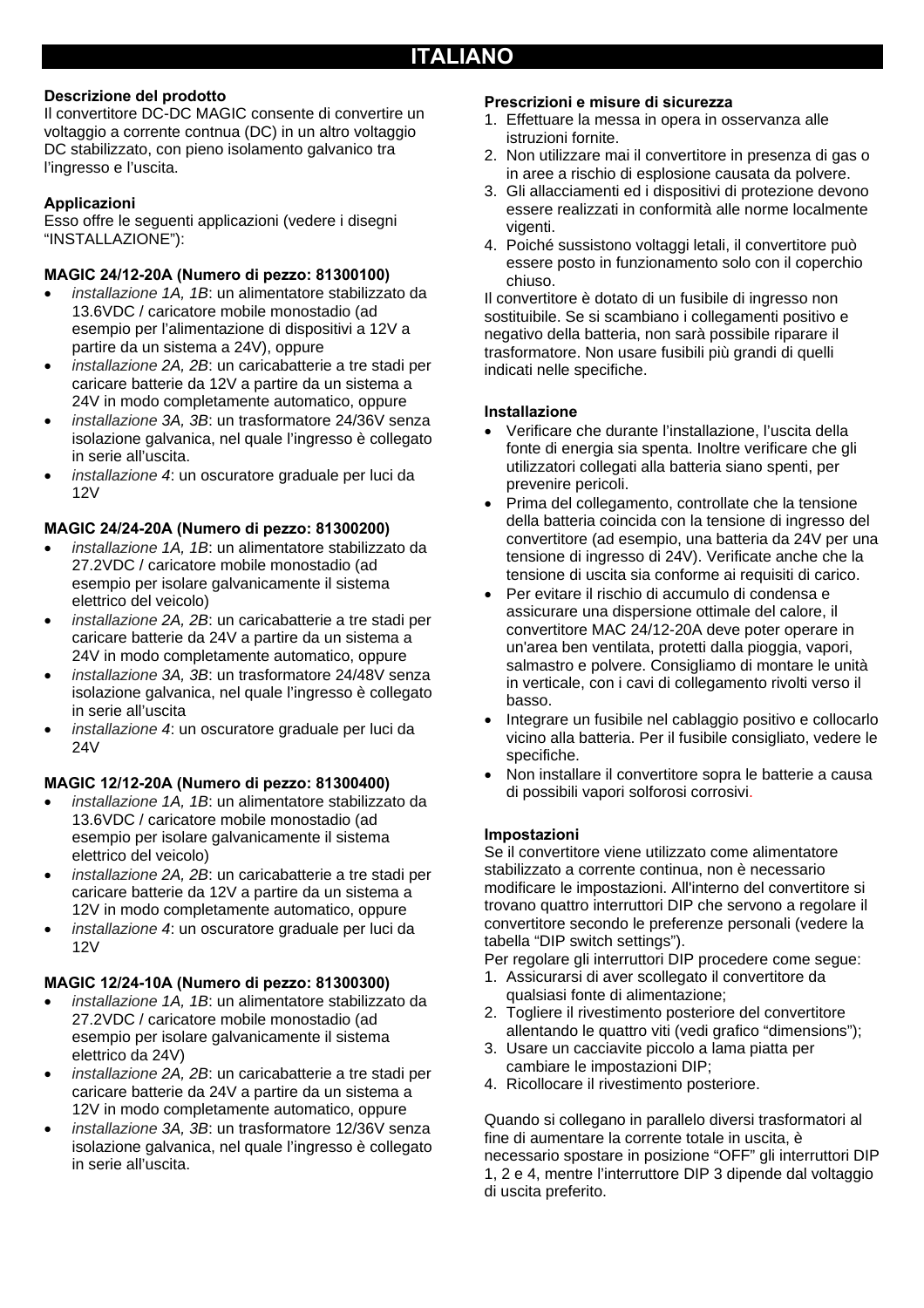#### **Descrizione del prodotto**

Il convertitore DC-DC MAGIC consente di convertire un voltaggio a corrente contnua (DC) in un altro voltaggio DC stabilizzato, con pieno isolamento galvanico tra l'ingresso e l'uscita.

#### **Applicazioni**

Esso offre le seguenti applicazioni (vedere i disegni "INSTALLAZIONE"):

#### **MAGIC 24/12-20A (Numero di pezzo: 81300100)**

- *installazione 1A, 1B*: un alimentatore stabilizzato da 13.6VDC / caricatore mobile monostadio (ad esempio per l'alimentazione di dispositivi a 12V a partire da un sistema a 24V), oppure
- *installazione 2A, 2B*: un caricabatterie a tre stadi per caricare batterie da 12V a partire da un sistema a 24V in modo completamente automatico, oppure
- *installazione 3A, 3B*: un trasformatore 24/36V senza isolazione galvanica, nel quale l'ingresso è collegato in serie all'uscita.
- *installazione 4*: un oscuratore graduale per luci da 12V

#### **MAGIC 24/24-20A (Numero di pezzo: 81300200)**

- *installazione 1A, 1B*: un alimentatore stabilizzato da 27.2VDC / caricatore mobile monostadio (ad esempio per isolare galvanicamente il sistema elettrico del veicolo)
- *installazione 2A, 2B*: un caricabatterie a tre stadi per caricare batterie da 24V a partire da un sistema a 24V in modo completamente automatico, oppure
- *installazione 3A, 3B*: un trasformatore 24/48V senza isolazione galvanica, nel quale l'ingresso è collegato in serie all'uscita
- *installazione 4*: un oscuratore graduale per luci da 24V

#### **MAGIC 12/12-20A (Numero di pezzo: 81300400)**

- *installazione 1A, 1B*: un alimentatore stabilizzato da 13.6VDC / caricatore mobile monostadio (ad esempio per isolare galvanicamente il sistema elettrico del veicolo)
- *installazione 2A, 2B*: un caricabatterie a tre stadi per caricare batterie da 12V a partire da un sistema a 12V in modo completamente automatico, oppure
- *installazione 4*: un oscuratore graduale per luci da 12V

#### **MAGIC 12/24-10A (Numero di pezzo: 81300300)**

- *installazione 1A, 1B*: un alimentatore stabilizzato da 27.2VDC / caricatore mobile monostadio (ad esempio per isolare galvanicamente il sistema elettrico da 24V)
- *installazione 2A, 2B*: un caricabatterie a tre stadi per caricare batterie da 24V a partire da un sistema a 12V in modo completamente automatico, oppure
- *installazione 3A, 3B*: un trasformatore 12/36V senza isolazione galvanica, nel quale l'ingresso è collegato in serie all'uscita.

#### **Prescrizioni e misure di sicurezza**

- 1. Effettuare la messa in opera in osservanza alle istruzioni fornite.
- 2. Non utilizzare mai il convertitore in presenza di gas o in aree a rischio di esplosione causata da polvere.
- 3. Gli allacciamenti ed i dispositivi di protezione devono essere realizzati in conformità alle norme localmente vigenti.
- 4. Poiché sussistono voltaggi letali, il convertitore può essere posto in funzionamento solo con il coperchio chiuso.

Il convertitore è dotato di un fusibile di ingresso non sostituibile. Se si scambiano i collegamenti positivo e negativo della batteria, non sarà possibile riparare il trasformatore. Non usare fusibili più grandi di quelli indicati nelle specifiche.

#### **Installazione**

- Verificare che durante l'installazione, l'uscita della fonte di energia sia spenta. Inoltre verificare che gli utilizzatori collegati alla batteria siano spenti, per prevenire pericoli.
- Prima del collegamento, controllate che la tensione della batteria coincida con la tensione di ingresso del convertitore (ad esempio, una batteria da 24V per una tensione di ingresso di 24V). Verificate anche che la tensione di uscita sia conforme ai requisiti di carico.
- Per evitare il rischio di accumulo di condensa e assicurare una dispersione ottimale del calore, il convertitore MAC 24/12-20A deve poter operare in un'area ben ventilata, protetti dalla pioggia, vapori, salmastro e polvere. Consigliamo di montare le unità in verticale, con i cavi di collegamento rivolti verso il basso.
- Integrare un fusibile nel cablaggio positivo e collocarlo vicino alla batteria. Per il fusibile consigliato, vedere le specifiche.
- Non installare il convertitore sopra le batterie a causa di possibili vapori solforosi corrosivi.

#### **Impostazioni**

Se il convertitore viene utilizzato come alimentatore stabilizzato a corrente continua, non è necessario modificare le impostazioni. All'interno del convertitore si trovano quattro interruttori DIP che servono a regolare il convertitore secondo le preferenze personali (vedere la tabella "DIP switch settings").

Per regolare gli interruttori DIP procedere come segue:

- 1. Assicurarsi di aver scollegato il convertitore da qualsiasi fonte di alimentazione;
- 2. Togliere il rivestimento posteriore del convertitore allentando le quattro viti (vedi grafico "dimensions");
- 3. Usare un cacciavite piccolo a lama piatta per cambiare le impostazioni DIP;
- 4. Ricollocare il rivestimento posteriore.

Quando si collegano in parallelo diversi trasformatori al fine di aumentare la corrente totale in uscita, è necessario spostare in posizione "OFF" gli interruttori DIP 1, 2 e 4, mentre l'interruttore DIP 3 dipende dal voltaggio di uscita preferito.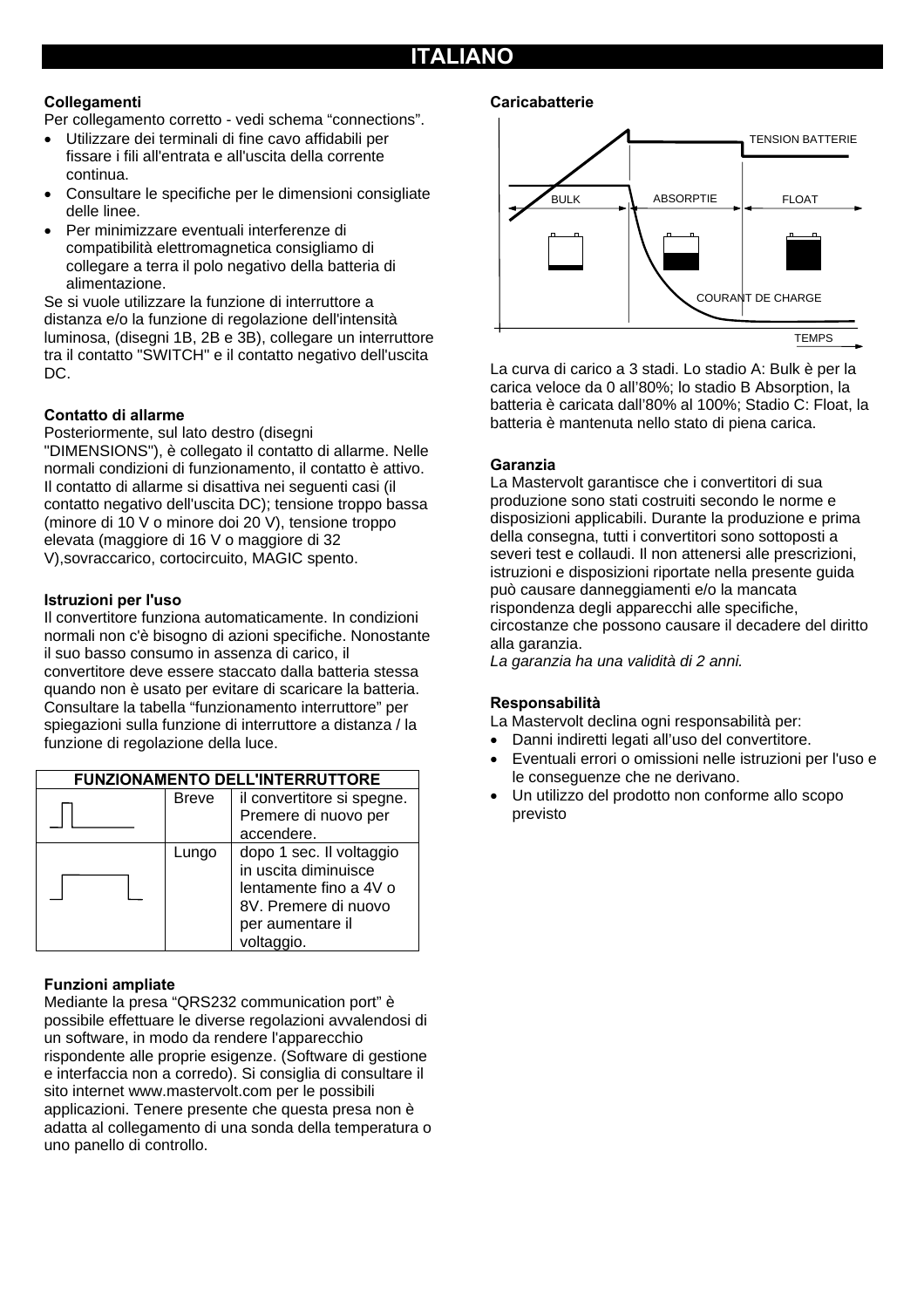## **ITALIANO**

#### **Collegamenti**

Per collegamento corretto - vedi schema "connections".

- Utilizzare dei terminali di fine cavo affidabili per fissare i fili all'entrata e all'uscita della corrente continua.
- Consultare le specifiche per le dimensioni consigliate delle linee.
- Per minimizzare eventuali interferenze di compatibilità elettromagnetica consigliamo di collegare a terra il polo negativo della batteria di alimentazione.

Se si vuole utilizzare la funzione di interruttore a distanza e/o la funzione di regolazione dell'intensità luminosa, (disegni 1B, 2B e 3B), collegare un interruttore tra il contatto "SWITCH" e il contatto negativo dell'uscita DC.

#### **Contatto di allarme**

Posteriormente, sul lato destro (disegni "DIMENSIONS"), è collegato il contatto di allarme. Nelle normali condizioni di funzionamento, il contatto è attivo. Il contatto di allarme si disattiva nei seguenti casi (il contatto negativo dell'uscita DC); tensione troppo bassa (minore di 10 V o minore doi 20 V), tensione troppo elevata (maggiore di 16 V o maggiore di 32 V),sovraccarico, cortocircuito, MAGIC spento.

#### **Istruzioni per l'uso**

Il convertitore funziona automaticamente. In condizioni normali non c'è bisogno di azioni specifiche. Nonostante il suo basso consumo in assenza di carico, il convertitore deve essere staccato dalla batteria stessa quando non è usato per evitare di scaricare la batteria. Consultare la tabella "funzionamento interruttore" per spiegazioni sulla funzione di interruttore a distanza / la funzione di regolazione della luce.



#### **Funzioni ampliate**

Mediante la presa "QRS232 communication port" è possibile effettuare le diverse regolazioni avvalendosi di un software, in modo da rendere l'apparecchio rispondente alle proprie esigenze. (Software di gestione e interfaccia non a corredo). Si consiglia di consultare il sito internet www.mastervolt.com per le possibili applicazioni. Tenere presente che questa presa non è adatta al collegamento di una sonda della temperatura o uno panello di controllo.

#### **Caricabatterie**



La curva di carico a 3 stadi. Lo stadio A: Bulk è per la carica veloce da 0 all'80%; lo stadio B Absorption, la batteria è caricata dall'80% al 100%; Stadio C: Float, la batteria è mantenuta nello stato di piena carica.

#### **Garanzia**

La Mastervolt garantisce che i convertitori di sua produzione sono stati costruiti secondo le norme e disposizioni applicabili. Durante la produzione e prima della consegna, tutti i convertitori sono sottoposti a severi test e collaudi. Il non attenersi alle prescrizioni, istruzioni e disposizioni riportate nella presente guida può causare danneggiamenti e/o la mancata rispondenza degli apparecchi alle specifiche, circostanze che possono causare il decadere del diritto alla garanzia.

*La garanzia ha una validità di 2 anni.* 

#### **Responsabilità**

La Mastervolt declina ogni responsabilità per:

- Danni indiretti legati all'uso del convertitore.
- Eventuali errori o omissioni nelle istruzioni per l'uso e le conseguenze che ne derivano.
- Un utilizzo del prodotto non conforme allo scopo previsto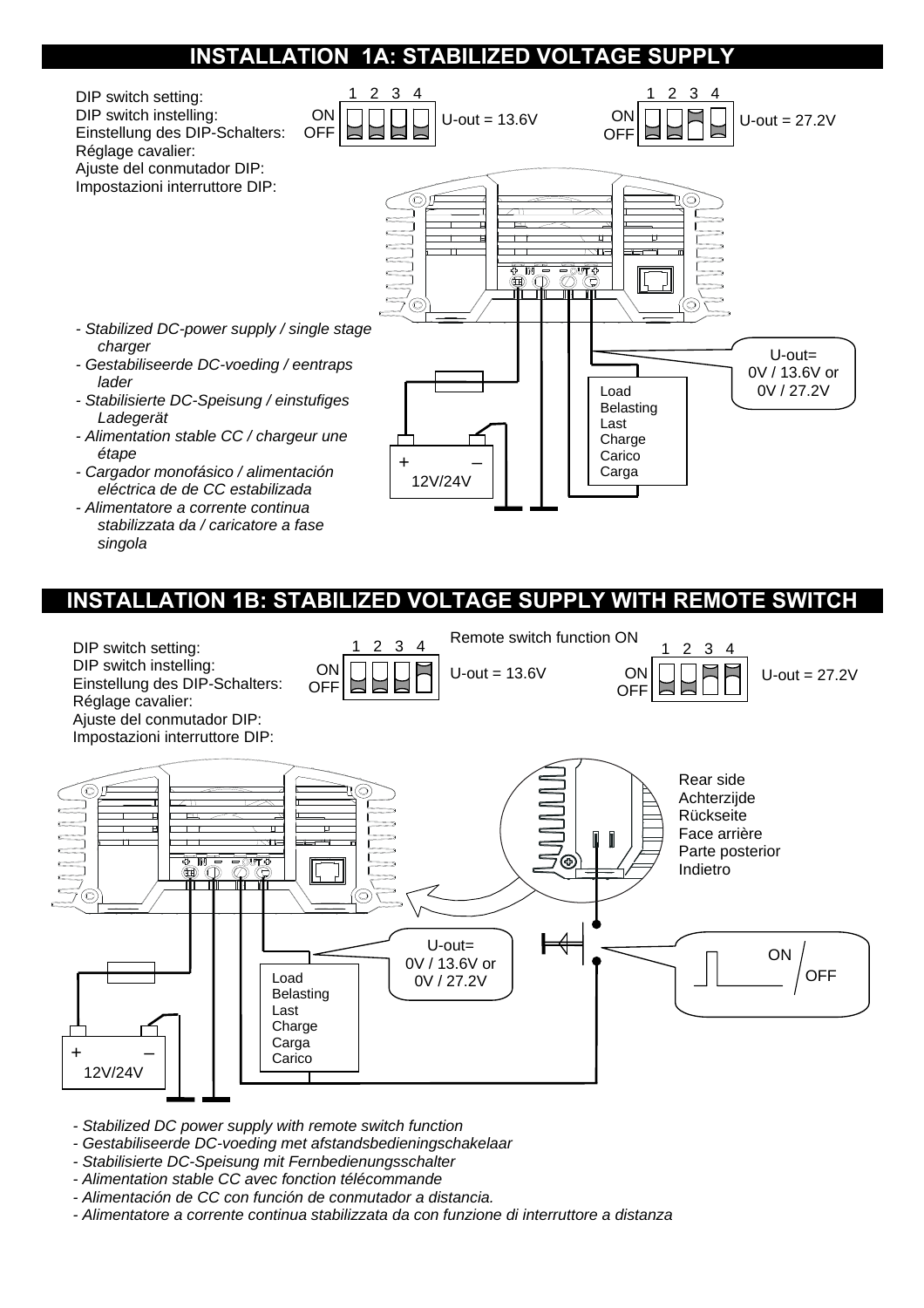## **INSTALLATION 1A: STABILIZED VOLTAGE SUPPLY**



## **INSTALLATION 1B: STABILIZED VOLTAGE SUPPLY WITH REMOTE SWITCH**



*- Stabilized DC power supply with remote switch function* 

*singola* 

- *Gestabiliseerde DC-voeding met afstandsbedieningschakelaar*
- *Stabilisierte DC-Speisung mit Fernbedienungsschalter*
- *Alimentation stable CC avec fonction télécommande*
- *Alimentación de CC con función de conmutador a distancia.*
- *Alimentatore a corrente continua stabilizzata da con funzione di interruttore a distanza*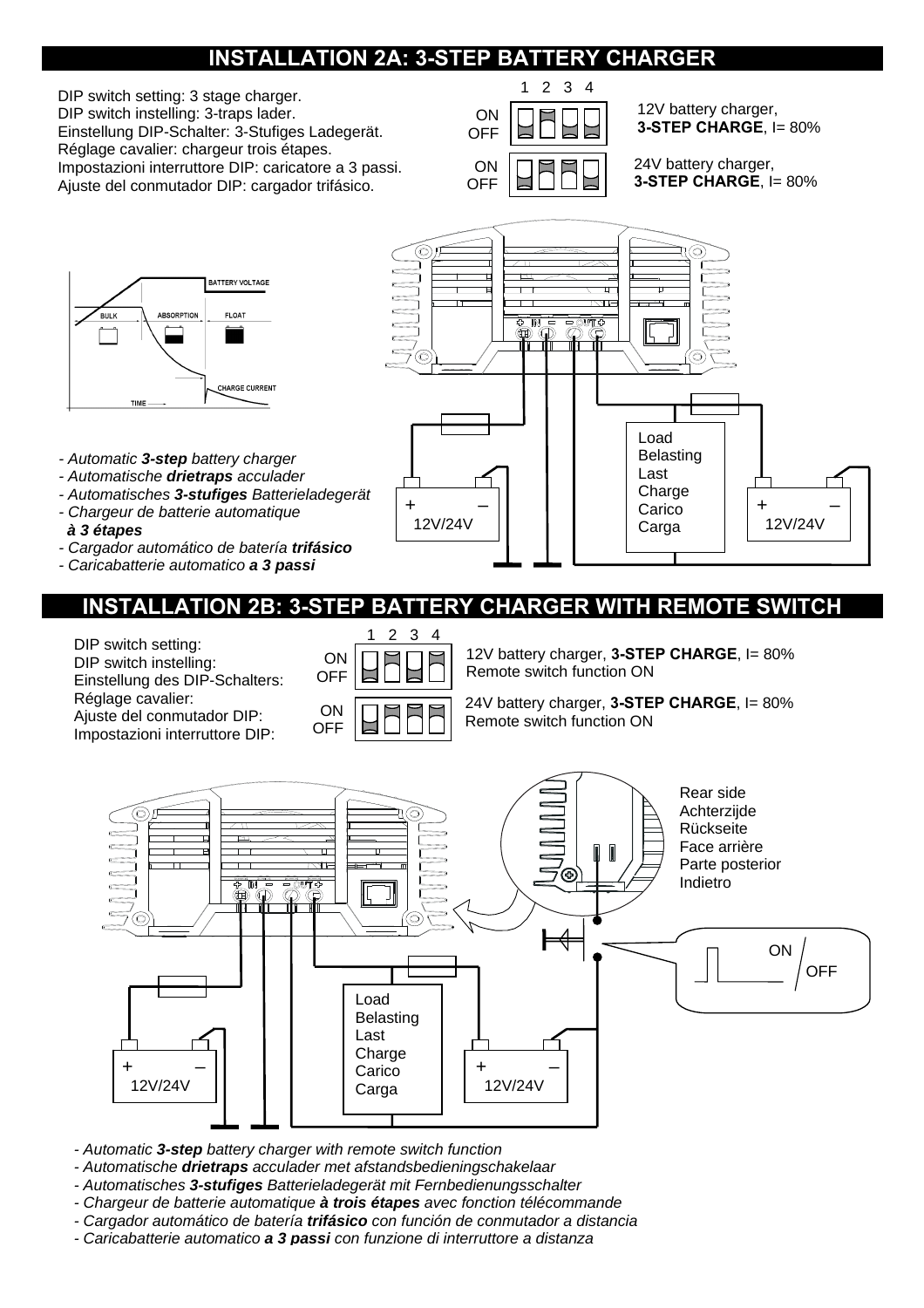# **INSTALLATION 2A: 3-STEP BATTERY CHARGER**

DIP switch setting: 3 stage charger. DIP switch instelling: 3-traps lader. Einstellung DIP-Schalter: 3-Stufiges Ladegerät. Réglage cavalier: chargeur trois étapes. Impostazioni interruttore DIP: caricatore a 3 passi. Ajuste del conmutador DIP: cargador trifásico.



12V battery charger, **3-STEP CHARGE, I= 80%** 

24V battery charger, **3-STEP CHARGE**, I= 80%



- *Automatic 3-step battery charger*
- *Automatische drietraps acculader*
- *Automatisches 3-stufiges Batterieladegerät*
- *Chargeur de batterie automatique à 3 étapes*
- *Cargador automático de batería trifásico*
- *Caricabatterie automatico a 3 passi*



**INSTALLATION 2B: 3-STEP BATTERY CHARGER WITH REMOTE SWITCH** 

DIP switch setting: DIP switch instelling: Einstellung des DIP-Schalters: Réglage cavalier:

Ajuste del conmutador DIP: Impostazioni interruttore DIP:



12V battery charger, **3-STEP CHARGE**, I= 80% Remote switch function ON

24V battery charger, **3-STEP CHARGE**, I= 80% Remote switch function ON



- *Automatic 3-step battery charger with remote switch function*
- *Automatische drietraps acculader met afstandsbedieningschakelaar*
- *Automatisches 3-stufiges Batterieladegerät mit Fernbedienungsschalter*
- *Chargeur de batterie automatique à trois étapes avec fonction télécommande*
- *Cargador automático de batería trifásico con función de conmutador a distancia*
- *Caricabatterie automatico a 3 passi con funzione di interruttore a distanza*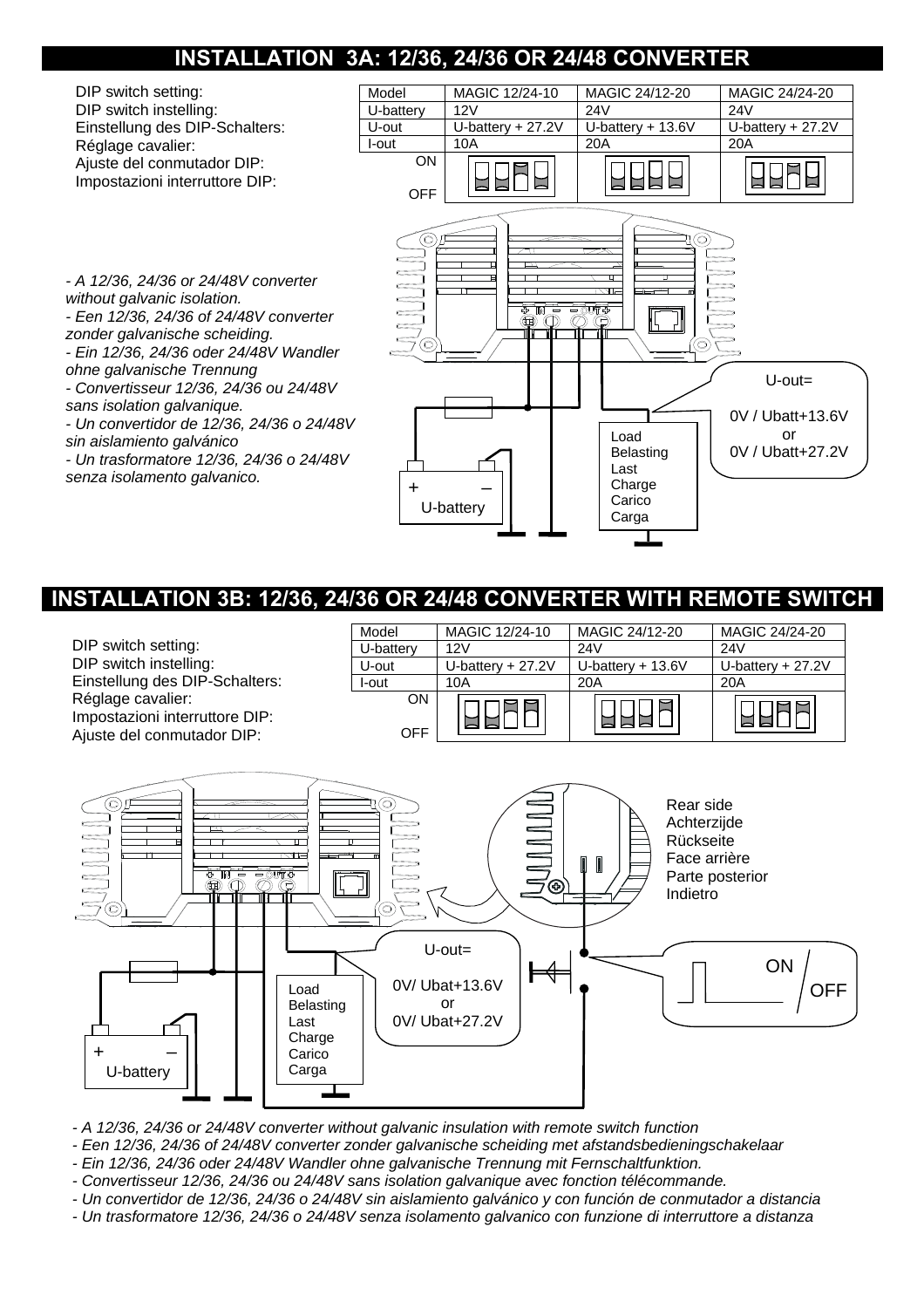# **INSTALLATION 3A: 12/36, 24/36 OR 24/48 CONVERTER**



## **INSTALLATION 3B: 12/36, 24/36 OR 24/48 CONVERTER WITH REMOTE SWITCH**





*- A 12/36, 24/36 or 24/48V converter without galvanic insulation with remote switch function* 

*- Een 12/36, 24/36 of 24/48V converter zonder galvanische scheiding met afstandsbedieningschakelaar* 

*- Ein 12/36, 24/36 oder 24/48V Wandler ohne galvanische Trennung mit Fernschaltfunktion.* 

*- Convertisseur 12/36, 24/36 ou 24/48V sans isolation galvanique avec fonction télécommande.* 

*- Un convertidor de 12/36, 24/36 o 24/48V sin aislamiento galvánico y con función de conmutador a distancia* 

*- Un trasformatore 12/36, 24/36 o 24/48V senza isolamento galvanico con funzione di interruttore a distanza*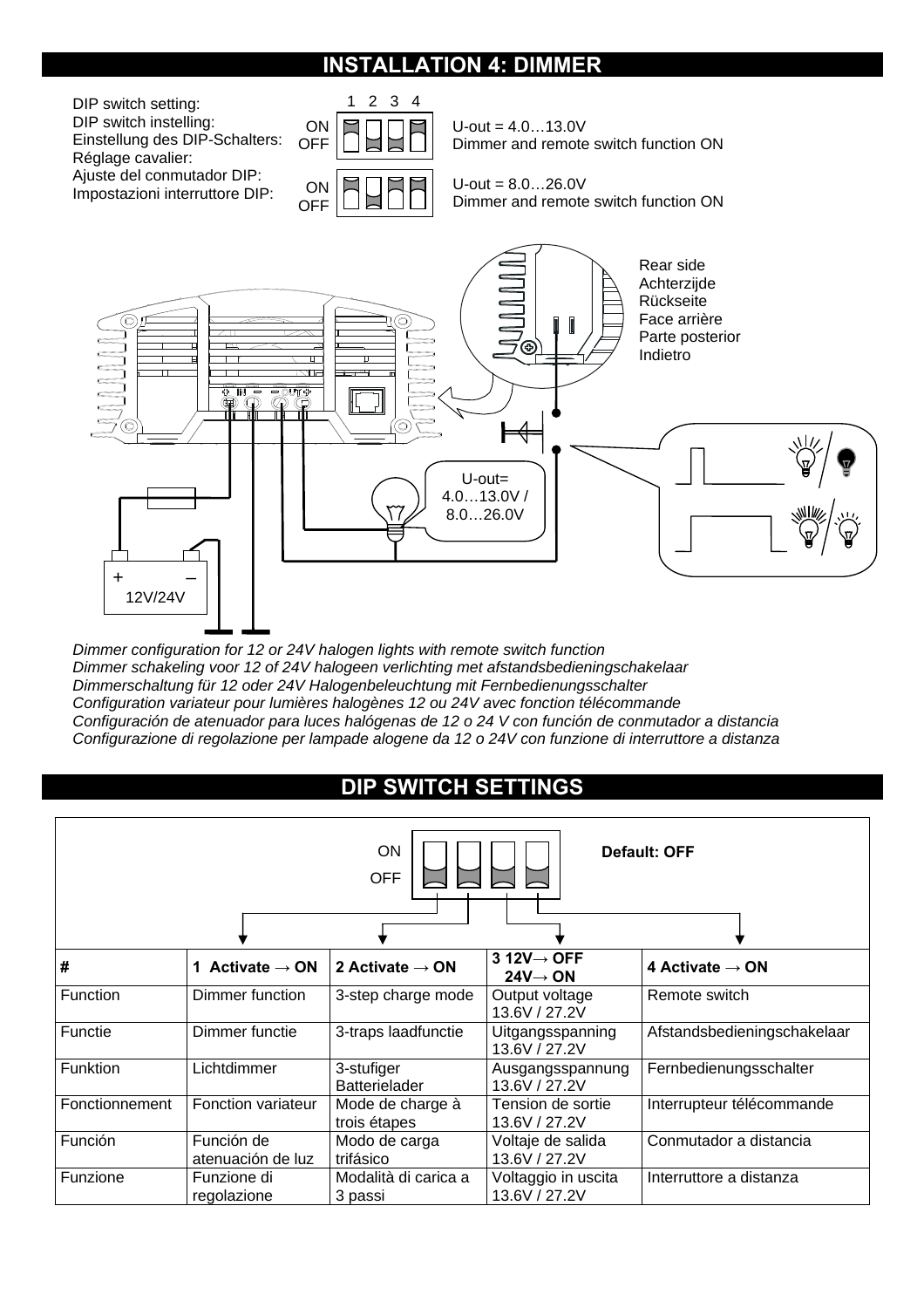## **INSTALLATION 4: DIMMER**

 $U$ -out = 4.0...13.0V Dimmer and remote switch function ON  $U$ -out =  $8.0...26.0V$ Dimmer and remote switch function ON 1 2 3 4 DIP switch setting: DIP switch instelling: Einstellung des DIP-Schalters: Réglage cavalier: Ajuste del conmutador DIP: Impostazioni interruttore DIP: **ON OFF ON OFF** 



*Dimmer configuration for 12 or 24V halogen lights with remote switch function Dimmer schakeling voor 12 of 24V halogeen verlichting met afstandsbedieningschakelaar Dimmerschaltung für 12 oder 24V Halogenbeleuchtung mit Fernbedienungsschalter Configuration variateur pour lumières halogènes 12 ou 24V avec fonction télécommande Configuración de atenuador para luces halógenas de 12 o 24 V con función de conmutador a distancia Configurazione di regolazione per lampade alogene da 12 o 24V con funzione di interruttore a distanza* 

# **DIP SWITCH SETTINGS**

| ON<br>Default: OFF<br><b>OFF</b> |                                 |                                    |                                                 |                             |
|----------------------------------|---------------------------------|------------------------------------|-------------------------------------------------|-----------------------------|
|                                  |                                 |                                    |                                                 |                             |
| #                                | 1 Activate $\rightarrow$ ON     | 2 Activate $\rightarrow$ ON        | $3 12V \rightarrow$ OFF<br>$24V \rightarrow ON$ | 4 Activate $\rightarrow$ ON |
| <b>Function</b>                  | Dimmer function                 | 3-step charge mode                 | Output voltage<br>13.6V / 27.2V                 | Remote switch               |
| Functie                          | Dimmer functie                  | 3-traps laadfunctie                | Uitgangsspanning<br>13.6V / 27.2V               | Afstandsbedieningschakelaar |
| <b>Funktion</b>                  | Lichtdimmer                     | 3-stufiger<br><b>Batterielader</b> | Ausgangsspannung<br>13.6V / 27.2V               | Fernbedienungsschalter      |
| Fonctionnement                   | Fonction variateur              | Mode de charge à<br>trois étapes   | Tension de sortie<br>13.6V / 27.2V              | Interrupteur télécommande   |
| Función                          | Función de<br>atenuación de luz | Modo de carga<br>trifásico         | Voltaje de salida<br>13.6V / 27.2V              | Conmutador a distancia      |
| Funzione                         | Funzione di<br>regolazione      | Modalità di carica a<br>3 passi    | Voltaggio in uscita<br>13.6V / 27.2V            | Interruttore a distanza     |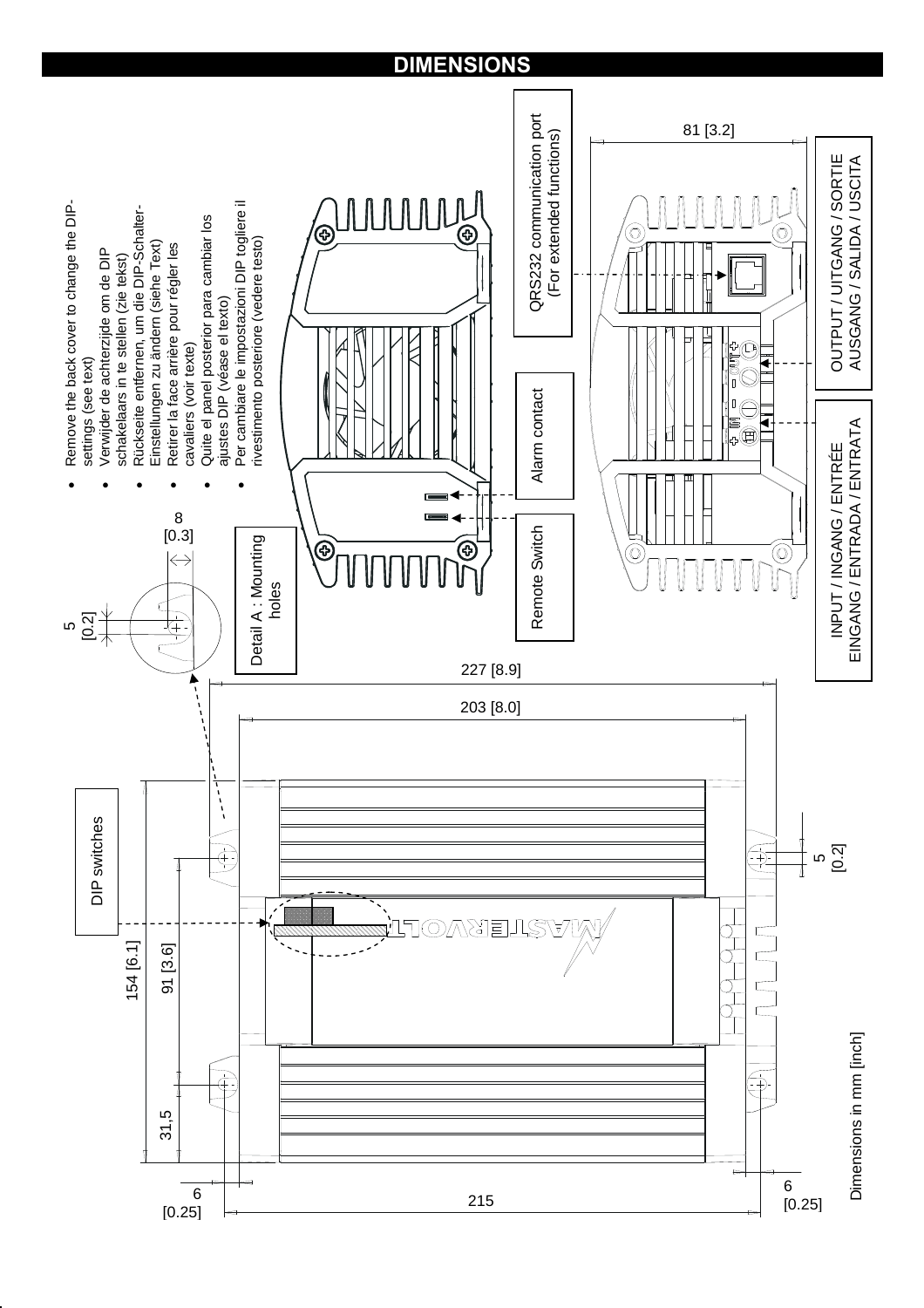# **DIMENSIONS**

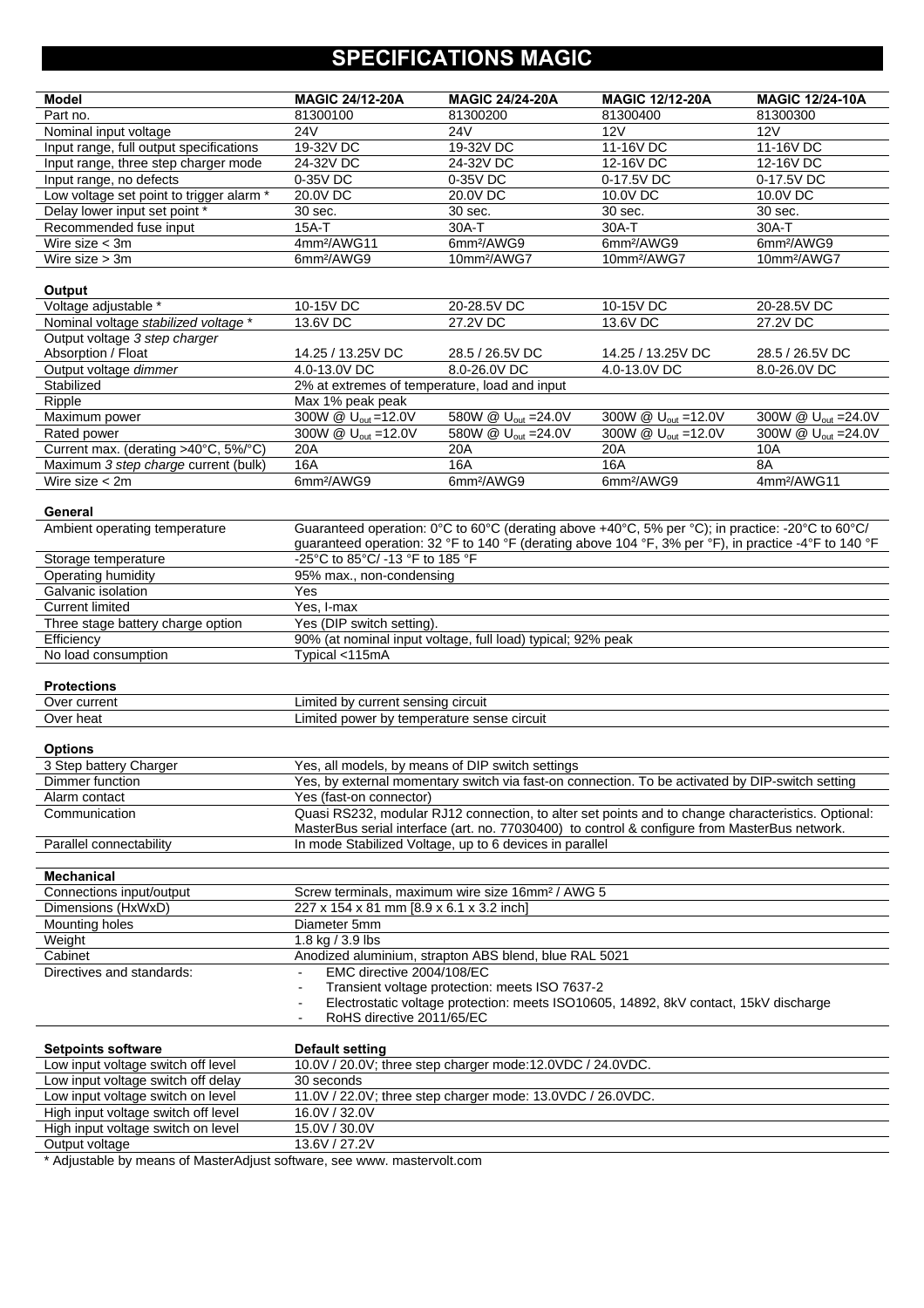# **SPECIFICATIONS MAGIC**

| <b>Model</b>                                     | <b>MAGIC 24/12-20A</b>                                                                                                                              | <b>MAGIC 24/24-20A</b>                                       | <b>MAGIC 12/12-20A</b>                                                                               | <b>MAGIC 12/24-10A</b>          |  |
|--------------------------------------------------|-----------------------------------------------------------------------------------------------------------------------------------------------------|--------------------------------------------------------------|------------------------------------------------------------------------------------------------------|---------------------------------|--|
| Part no.                                         | 81300100                                                                                                                                            | 81300200                                                     | 81300400                                                                                             | 81300300                        |  |
| Nominal input voltage                            | <b>24V</b>                                                                                                                                          | 24V                                                          | 12V                                                                                                  | 12V                             |  |
| Input range, full output specifications          | 19-32V DC                                                                                                                                           | 19-32V DC                                                    | $11-16V$ DC                                                                                          | 11-16V DC                       |  |
| Input range, three step charger mode             | 24-32V DC                                                                                                                                           | 24-32V DC                                                    | 12-16V DC                                                                                            | 12-16V DC                       |  |
| Input range, no defects                          | 0-35V DC                                                                                                                                            | 0-35V DC                                                     | 0-17.5V DC                                                                                           | 0-17.5V DC                      |  |
| Low voltage set point to trigger alarm *         | 20.0V DC                                                                                                                                            | 20.0V DC                                                     | 10.0V DC                                                                                             | 10.0V DC                        |  |
| Delay lower input set point *                    | 30 sec.                                                                                                                                             | 30 sec.                                                      | 30 sec.                                                                                              | 30 sec.                         |  |
| Recommended fuse input                           | $15A-T$                                                                                                                                             | 30A-T                                                        | 30A-T                                                                                                | 30A-T                           |  |
| Wire size $<$ 3m                                 | 4mm <sup>2</sup> /AWG11                                                                                                                             | 6mm <sup>2</sup> /AWG9                                       | 6mm <sup>2</sup> /AWG9                                                                               | 6mm <sup>2</sup> /AWG9          |  |
| Wire size $> 3m$                                 | 6mm <sup>2</sup> /AWG9                                                                                                                              | 10mm <sup>2</sup> /AWG7                                      | 10mm <sup>2</sup> /AWG7                                                                              | 10mm <sup>2</sup> /AWG7         |  |
|                                                  |                                                                                                                                                     |                                                              |                                                                                                      |                                 |  |
| Output<br>Voltage adjustable *                   | 10-15V DC                                                                                                                                           | 20-28.5V DC                                                  | 10-15V DC                                                                                            | 20-28.5V DC                     |  |
| Nominal voltage stabilized voltage *             | 13.6V DC                                                                                                                                            | 27.2V DC                                                     | 13.6V DC                                                                                             | 27.2V DC                        |  |
| Output voltage 3 step charger                    |                                                                                                                                                     |                                                              |                                                                                                      |                                 |  |
| Absorption / Float                               | 14.25 / 13.25 V DC                                                                                                                                  | 28.5 / 26.5 V DC                                             | 14.25 / 13.25 V DC                                                                                   | 28.5 / 26.5 V DC                |  |
| Output voltage dimmer                            | 4.0-13.0V DC                                                                                                                                        | 8.0-26.0V DC                                                 | 4.0-13.0V DC                                                                                         | 8.0-26.0V DC                    |  |
| Stabilized                                       |                                                                                                                                                     |                                                              |                                                                                                      |                                 |  |
|                                                  | 2% at extremes of temperature, load and input                                                                                                       |                                                              |                                                                                                      |                                 |  |
| Ripple                                           | Max 1% peak peak                                                                                                                                    |                                                              |                                                                                                      |                                 |  |
| Maximum power                                    | 300W @ U <sub>out</sub> =12.0V                                                                                                                      | 580W @ U <sub>out</sub> = 24.0V                              | 300W @ U <sub>out</sub> = 12.0V<br>300W @ $U_{\text{out}}$ =12.0V                                    | 300W @ U <sub>out</sub> = 24.0V |  |
| Rated power                                      | 300W @ U <sub>out</sub> =12.0V                                                                                                                      | 580W @ U <sub>out</sub> = 24.0V                              |                                                                                                      | 300W @ U <sub>out</sub> = 24.0V |  |
| Current max. (derating >40°C, 5%/°C)             | 20A                                                                                                                                                 | 20A                                                          | 20A                                                                                                  | 10A                             |  |
| Maximum 3 step charge current (bulk)             | <b>16A</b>                                                                                                                                          | <b>16A</b>                                                   | <b>16A</b><br>6mm <sup>2</sup> /AWG9                                                                 | 8A                              |  |
| Wire size $<$ 2m                                 | 6mm <sup>2</sup> /AWG9                                                                                                                              | 6mm <sup>2</sup> /AWG9                                       |                                                                                                      | 4mm <sup>2</sup> /AWG11         |  |
|                                                  |                                                                                                                                                     |                                                              |                                                                                                      |                                 |  |
| General                                          |                                                                                                                                                     |                                                              | Guaranteed operation: 0°C to 60°C (derating above +40°C, 5% per °C); in practice: -20°C to 60°C/     |                                 |  |
| Ambient operating temperature                    |                                                                                                                                                     |                                                              | guaranteed operation: 32 °F to 140 °F (derating above 104 °F, 3% per °F), in practice -4°F to 140 °F |                                 |  |
|                                                  | -25°C to 85°C/ -13 °F to 185 °F                                                                                                                     |                                                              |                                                                                                      |                                 |  |
| Storage temperature<br><b>Operating humidity</b> |                                                                                                                                                     |                                                              |                                                                                                      |                                 |  |
|                                                  | 95% max., non-condensing<br>Yes                                                                                                                     |                                                              |                                                                                                      |                                 |  |
| Galvanic isolation<br><b>Current limited</b>     |                                                                                                                                                     |                                                              |                                                                                                      |                                 |  |
| Three stage battery charge option                | Yes (DIP switch setting).                                                                                                                           | Yes, I-max                                                   |                                                                                                      |                                 |  |
|                                                  |                                                                                                                                                     |                                                              |                                                                                                      |                                 |  |
| Efficiency                                       |                                                                                                                                                     | 90% (at nominal input voltage, full load) typical; 92% peak  |                                                                                                      |                                 |  |
| No load consumption                              | Typical <115mA                                                                                                                                      |                                                              |                                                                                                      |                                 |  |
| <b>Protections</b>                               |                                                                                                                                                     |                                                              |                                                                                                      |                                 |  |
| Over current                                     |                                                                                                                                                     |                                                              |                                                                                                      |                                 |  |
| Over heat                                        | Limited by current sensing circuit<br>Limited power by temperature sense circuit                                                                    |                                                              |                                                                                                      |                                 |  |
|                                                  |                                                                                                                                                     |                                                              |                                                                                                      |                                 |  |
| <b>Options</b>                                   |                                                                                                                                                     |                                                              |                                                                                                      |                                 |  |
| 3 Step battery Charger                           |                                                                                                                                                     |                                                              |                                                                                                      |                                 |  |
| Dimmer function                                  | Yes, all models, by means of DIP switch settings<br>Yes, by external momentary switch via fast-on connection. To be activated by DIP-switch setting |                                                              |                                                                                                      |                                 |  |
| Alarm contact                                    |                                                                                                                                                     |                                                              |                                                                                                      |                                 |  |
| Communication                                    | Yes (fast-on connector)<br>Quasi RS232, modular RJ12 connection, to alter set points and to change characteristics. Optional:                       |                                                              |                                                                                                      |                                 |  |
|                                                  |                                                                                                                                                     |                                                              | MasterBus serial interface (art. no. 77030400) to control & configure from MasterBus network.        |                                 |  |
| Parallel connectability                          |                                                                                                                                                     | In mode Stabilized Voltage, up to 6 devices in parallel      |                                                                                                      |                                 |  |
|                                                  |                                                                                                                                                     |                                                              |                                                                                                      |                                 |  |
| <b>Mechanical</b>                                |                                                                                                                                                     |                                                              |                                                                                                      |                                 |  |
| Connections input/output                         |                                                                                                                                                     | Screw terminals, maximum wire size 16mm <sup>2</sup> / AWG 5 |                                                                                                      |                                 |  |
| Dimensions (HxWxD)                               | 227 x 154 x 81 mm [8.9 x 6.1 x 3.2 inch]                                                                                                            |                                                              |                                                                                                      |                                 |  |
| Mounting holes                                   | Diameter 5mm                                                                                                                                        |                                                              |                                                                                                      |                                 |  |
| Weight                                           | 1.8 kg / 3.9 lbs                                                                                                                                    |                                                              |                                                                                                      |                                 |  |
| Cabinet                                          | Anodized aluminium, strapton ABS blend, blue RAL 5021                                                                                               |                                                              |                                                                                                      |                                 |  |
| Directives and standards:                        | EMC directive 2004/108/EC                                                                                                                           |                                                              |                                                                                                      |                                 |  |
|                                                  |                                                                                                                                                     | Transient voltage protection: meets ISO 7637-2               |                                                                                                      |                                 |  |
|                                                  | ÷                                                                                                                                                   |                                                              | Electrostatic voltage protection: meets ISO10605, 14892, 8kV contact, 15kV discharge                 |                                 |  |
|                                                  | RoHS directive 2011/65/EC<br>$\overline{\phantom{a}}$                                                                                               |                                                              |                                                                                                      |                                 |  |
|                                                  |                                                                                                                                                     |                                                              |                                                                                                      |                                 |  |
| <b>Setpoints software</b>                        | <b>Default setting</b>                                                                                                                              |                                                              |                                                                                                      |                                 |  |
| Low input voltage switch off level               |                                                                                                                                                     | 10.0V / 20.0V; three step charger mode:12.0VDC / 24.0VDC.    |                                                                                                      |                                 |  |
| Low input voltage switch off delay               | 30 seconds                                                                                                                                          |                                                              |                                                                                                      |                                 |  |
| Low input voltage switch on level                |                                                                                                                                                     | 11.0V / 22.0V; three step charger mode: 13.0VDC / 26.0VDC.   |                                                                                                      |                                 |  |
| High input voltage switch off level              | 16.0V / 32.0V                                                                                                                                       |                                                              |                                                                                                      |                                 |  |
| High input voltage switch on level               | 15.0V / 30.0V                                                                                                                                       |                                                              |                                                                                                      |                                 |  |
| Output voltage                                   | 13.6V / 27.2V                                                                                                                                       |                                                              |                                                                                                      |                                 |  |
|                                                  |                                                                                                                                                     |                                                              |                                                                                                      |                                 |  |

\* Adjustable by means of MasterAdjust software, see www. mastervolt.com